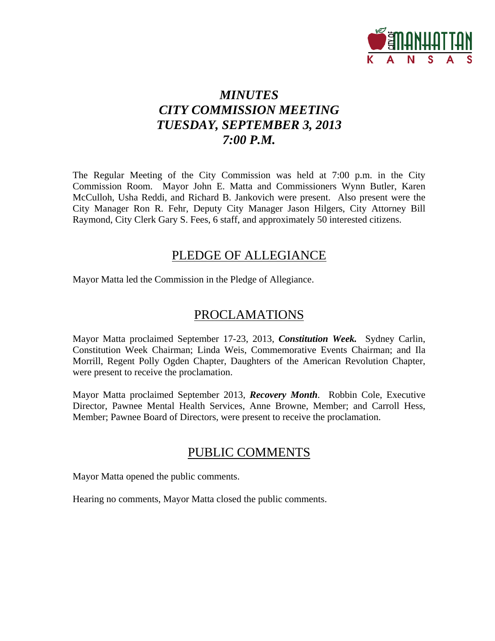

## *MINUTES CITY COMMISSION MEETING TUESDAY, SEPTEMBER 3, 2013 7:00 P.M.*

The Regular Meeting of the City Commission was held at 7:00 p.m. in the City Commission Room. Mayor John E. Matta and Commissioners Wynn Butler, Karen McCulloh, Usha Reddi, and Richard B. Jankovich were present. Also present were the City Manager Ron R. Fehr, Deputy City Manager Jason Hilgers, City Attorney Bill Raymond, City Clerk Gary S. Fees, 6 staff, and approximately 50 interested citizens.

## PLEDGE OF ALLEGIANCE

Mayor Matta led the Commission in the Pledge of Allegiance.

## PROCLAMATIONS

Mayor Matta proclaimed September 17-23, 2013, *Constitution Week.* Sydney Carlin, Constitution Week Chairman; Linda Weis, Commemorative Events Chairman; and Ila Morrill, Regent Polly Ogden Chapter, Daughters of the American Revolution Chapter, were present to receive the proclamation.

Mayor Matta proclaimed September 2013, *Recovery Month*. Robbin Cole, Executive Director, Pawnee Mental Health Services, Anne Browne, Member; and Carroll Hess, Member; Pawnee Board of Directors, were present to receive the proclamation.

## PUBLIC COMMENTS

Mayor Matta opened the public comments.

Hearing no comments, Mayor Matta closed the public comments.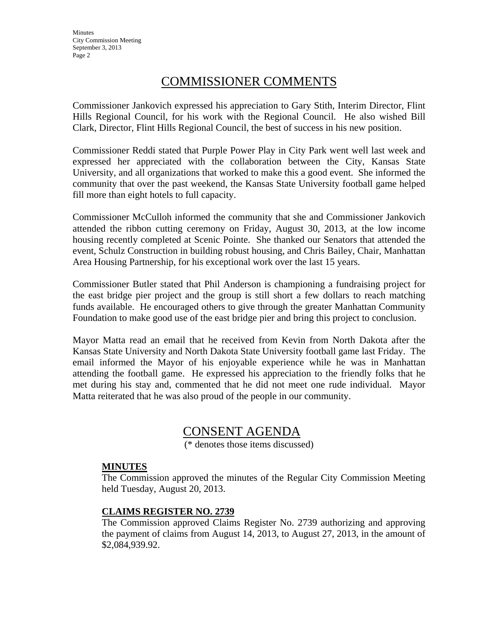**Minutes** City Commission Meeting September 3, 2013 Page 2

## COMMISSIONER COMMENTS

Commissioner Jankovich expressed his appreciation to Gary Stith, Interim Director, Flint Hills Regional Council, for his work with the Regional Council. He also wished Bill Clark, Director, Flint Hills Regional Council, the best of success in his new position.

Commissioner Reddi stated that Purple Power Play in City Park went well last week and expressed her appreciated with the collaboration between the City, Kansas State University, and all organizations that worked to make this a good event. She informed the community that over the past weekend, the Kansas State University football game helped fill more than eight hotels to full capacity.

Commissioner McCulloh informed the community that she and Commissioner Jankovich attended the ribbon cutting ceremony on Friday, August 30, 2013, at the low income housing recently completed at Scenic Pointe. She thanked our Senators that attended the event, Schulz Construction in building robust housing, and Chris Bailey, Chair, Manhattan Area Housing Partnership, for his exceptional work over the last 15 years.

Commissioner Butler stated that Phil Anderson is championing a fundraising project for the east bridge pier project and the group is still short a few dollars to reach matching funds available. He encouraged others to give through the greater Manhattan Community Foundation to make good use of the east bridge pier and bring this project to conclusion.

Mayor Matta read an email that he received from Kevin from North Dakota after the Kansas State University and North Dakota State University football game last Friday. The email informed the Mayor of his enjoyable experience while he was in Manhattan attending the football game. He expressed his appreciation to the friendly folks that he met during his stay and, commented that he did not meet one rude individual. Mayor Matta reiterated that he was also proud of the people in our community.

## CONSENT AGENDA

(\* denotes those items discussed)

#### **MINUTES**

The Commission approved the minutes of the Regular City Commission Meeting held Tuesday, August 20, 2013.

### **CLAIMS REGISTER NO. 2739**

The Commission approved Claims Register No. 2739 authorizing and approving the payment of claims from August 14, 2013, to August 27, 2013, in the amount of \$2,084,939.92.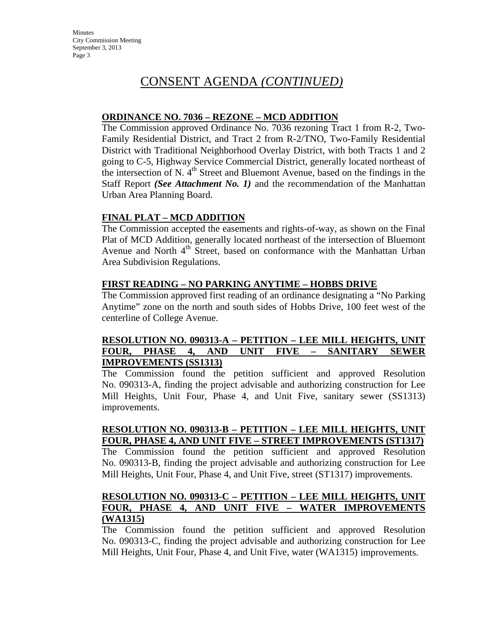## CONSENT AGENDA *(CONTINUED)*

#### **ORDINANCE NO. 7036 – REZONE – MCD ADDITION**

The Commission approved Ordinance No. 7036 rezoning Tract 1 from R-2, Two-Family Residential District, and Tract 2 from R-2/TNO, Two-Family Residential District with Traditional Neighborhood Overlay District, with both Tracts 1 and 2 going to C-5, Highway Service Commercial District, generally located northeast of the intersection of N.  $4<sup>th</sup>$  Street and Bluemont Avenue, based on the findings in the Staff Report *(See Attachment No. 1)* and the recommendation of the Manhattan Urban Area Planning Board.

### **FINAL PLAT – MCD ADDITION**

The Commission accepted the easements and rights-of-way, as shown on the Final Plat of MCD Addition, generally located northeast of the intersection of Bluemont Avenue and North 4<sup>th</sup> Street, based on conformance with the Manhattan Urban Area Subdivision Regulations.

#### **FIRST READING – NO PARKING ANYTIME – HOBBS DRIVE**

The Commission approved first reading of an ordinance designating a "No Parking Anytime" zone on the north and south sides of Hobbs Drive, 100 feet west of the centerline of College Avenue.

### **RESOLUTION NO. 090313-A – PETITION – LEE MILL HEIGHTS, UNIT FOUR, PHASE 4, AND UNIT FIVE – SANITARY SEWER IMPROVEMENTS (SS1313)**

The Commission found the petition sufficient and approved Resolution No. 090313-A, finding the project advisable and authorizing construction for Lee Mill Heights, Unit Four, Phase 4, and Unit Five, sanitary sewer (SS1313) improvements.

### **RESOLUTION NO. 090313-B – PETITION – LEE MILL HEIGHTS, UNIT FOUR, PHASE 4, AND UNIT FIVE – STREET IMPROVEMENTS (ST1317)**

The Commission found the petition sufficient and approved Resolution No. 090313-B, finding the project advisable and authorizing construction for Lee Mill Heights, Unit Four, Phase 4, and Unit Five, street (ST1317) improvements.

#### **RESOLUTION NO. 090313-C – PETITION – LEE MILL HEIGHTS, UNIT FOUR, PHASE 4, AND UNIT FIVE – WATER IMPROVEMENTS (WA1315)**

The Commission found the petition sufficient and approved Resolution No. 090313-C, finding the project advisable and authorizing construction for Lee Mill Heights, Unit Four, Phase 4, and Unit Five, water (WA1315) improvements.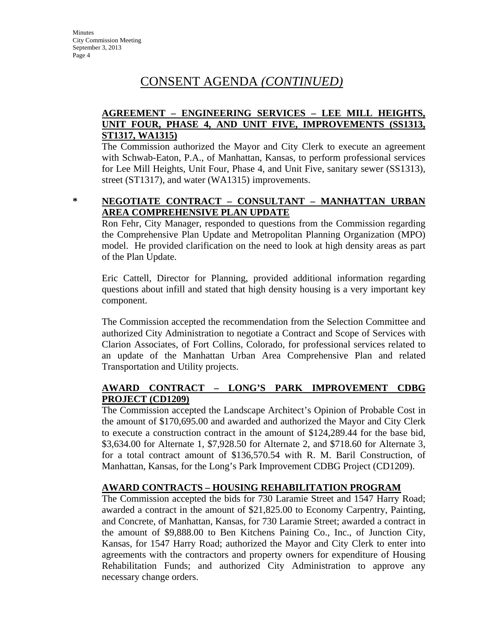## CONSENT AGENDA *(CONTINUED)*

### **AGREEMENT – ENGINEERING SERVICES – LEE MILL HEIGHTS, UNIT FOUR, PHASE 4, AND UNIT FIVE, IMPROVEMENTS (SS1313, ST1317, WA1315)**

The Commission authorized the Mayor and City Clerk to execute an agreement with Schwab-Eaton, P.A., of Manhattan, Kansas, to perform professional services for Lee Mill Heights, Unit Four, Phase 4, and Unit Five, sanitary sewer (SS1313), street (ST1317), and water (WA1315) improvements.

#### **\* NEGOTIATE CONTRACT – CONSULTANT – MANHATTAN URBAN AREA COMPREHENSIVE PLAN UPDATE**

Ron Fehr, City Manager, responded to questions from the Commission regarding the Comprehensive Plan Update and Metropolitan Planning Organization (MPO) model. He provided clarification on the need to look at high density areas as part of the Plan Update.

Eric Cattell, Director for Planning, provided additional information regarding questions about infill and stated that high density housing is a very important key component.

The Commission accepted the recommendation from the Selection Committee and authorized City Administration to negotiate a Contract and Scope of Services with Clarion Associates, of Fort Collins, Colorado, for professional services related to an update of the Manhattan Urban Area Comprehensive Plan and related Transportation and Utility projects.

### **AWARD CONTRACT – LONG'S PARK IMPROVEMENT CDBG PROJECT (CD1209)**

The Commission accepted the Landscape Architect's Opinion of Probable Cost in the amount of \$170,695.00 and awarded and authorized the Mayor and City Clerk to execute a construction contract in the amount of \$124,289.44 for the base bid, \$3,634.00 for Alternate 1, \$7,928.50 for Alternate 2, and \$718.60 for Alternate 3, for a total contract amount of \$136,570.54 with R. M. Baril Construction, of Manhattan, Kansas, for the Long's Park Improvement CDBG Project (CD1209).

## **AWARD CONTRACTS – HOUSING REHABILITATION PROGRAM**

The Commission accepted the bids for 730 Laramie Street and 1547 Harry Road; awarded a contract in the amount of \$21,825.00 to Economy Carpentry, Painting, and Concrete, of Manhattan, Kansas, for 730 Laramie Street; awarded a contract in the amount of \$9,888.00 to Ben Kitchens Paining Co., Inc., of Junction City, Kansas, for 1547 Harry Road; authorized the Mayor and City Clerk to enter into agreements with the contractors and property owners for expenditure of Housing Rehabilitation Funds; and authorized City Administration to approve any necessary change orders.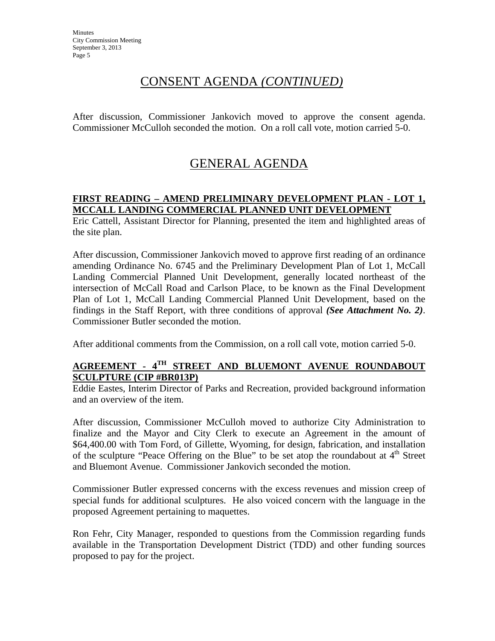## CONSENT AGENDA *(CONTINUED)*

After discussion, Commissioner Jankovich moved to approve the consent agenda. Commissioner McCulloh seconded the motion. On a roll call vote, motion carried 5-0.

# GENERAL AGENDA

## **FIRST READING – AMEND PRELIMINARY DEVELOPMENT PLAN - LOT 1, MCCALL LANDING COMMERCIAL PLANNED UNIT DEVELOPMENT**

Eric Cattell, Assistant Director for Planning, presented the item and highlighted areas of the site plan.

After discussion, Commissioner Jankovich moved to approve first reading of an ordinance amending Ordinance No. 6745 and the Preliminary Development Plan of Lot 1, McCall Landing Commercial Planned Unit Development, generally located northeast of the intersection of McCall Road and Carlson Place, to be known as the Final Development Plan of Lot 1, McCall Landing Commercial Planned Unit Development, based on the findings in the Staff Report, with three conditions of approval *(See Attachment No. 2)*. Commissioner Butler seconded the motion.

After additional comments from the Commission, on a roll call vote, motion carried 5-0.

## **AGREEMENT - 4TH STREET AND BLUEMONT AVENUE ROUNDABOUT SCULPTURE (CIP #BR013P)**

Eddie Eastes, Interim Director of Parks and Recreation, provided background information and an overview of the item.

After discussion, Commissioner McCulloh moved to authorize City Administration to finalize and the Mayor and City Clerk to execute an Agreement in the amount of \$64,400.00 with Tom Ford, of Gillette, Wyoming, for design, fabrication, and installation of the sculpture "Peace Offering on the Blue" to be set atop the roundabout at  $4<sup>th</sup>$  Street and Bluemont Avenue. Commissioner Jankovich seconded the motion.

Commissioner Butler expressed concerns with the excess revenues and mission creep of special funds for additional sculptures. He also voiced concern with the language in the proposed Agreement pertaining to maquettes.

Ron Fehr, City Manager, responded to questions from the Commission regarding funds available in the Transportation Development District (TDD) and other funding sources proposed to pay for the project.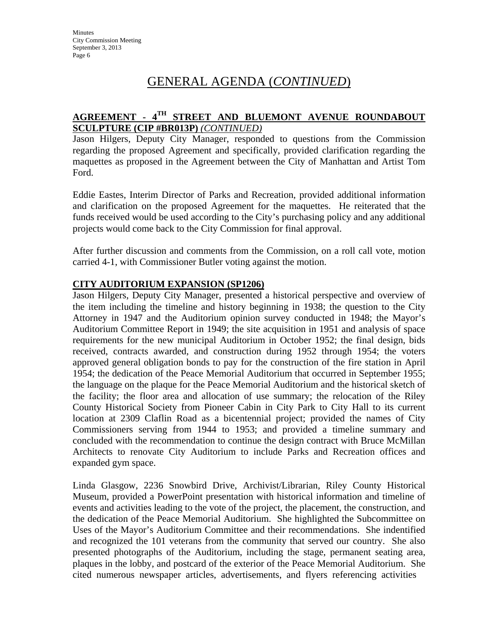## GENERAL AGENDA (*CONTINUED*)

## **AGREEMENT - 4TH STREET AND BLUEMONT AVENUE ROUNDABOUT SCULPTURE (CIP #BR013P)** *(CONTINUED)*

Jason Hilgers, Deputy City Manager, responded to questions from the Commission regarding the proposed Agreement and specifically, provided clarification regarding the maquettes as proposed in the Agreement between the City of Manhattan and Artist Tom Ford.

Eddie Eastes, Interim Director of Parks and Recreation, provided additional information and clarification on the proposed Agreement for the maquettes. He reiterated that the funds received would be used according to the City's purchasing policy and any additional projects would come back to the City Commission for final approval.

After further discussion and comments from the Commission, on a roll call vote, motion carried 4-1, with Commissioner Butler voting against the motion.

#### **CITY AUDITORIUM EXPANSION (SP1206)**

Jason Hilgers, Deputy City Manager, presented a historical perspective and overview of the item including the timeline and history beginning in 1938; the question to the City Attorney in 1947 and the Auditorium opinion survey conducted in 1948; the Mayor's Auditorium Committee Report in 1949; the site acquisition in 1951 and analysis of space requirements for the new municipal Auditorium in October 1952; the final design, bids received, contracts awarded, and construction during 1952 through 1954; the voters approved general obligation bonds to pay for the construction of the fire station in April 1954; the dedication of the Peace Memorial Auditorium that occurred in September 1955; the language on the plaque for the Peace Memorial Auditorium and the historical sketch of the facility; the floor area and allocation of use summary; the relocation of the Riley County Historical Society from Pioneer Cabin in City Park to City Hall to its current location at 2309 Claflin Road as a bicentennial project; provided the names of City Commissioners serving from 1944 to 1953; and provided a timeline summary and concluded with the recommendation to continue the design contract with Bruce McMillan Architects to renovate City Auditorium to include Parks and Recreation offices and expanded gym space.

Linda Glasgow, 2236 Snowbird Drive, Archivist/Librarian, Riley County Historical Museum, provided a PowerPoint presentation with historical information and timeline of events and activities leading to the vote of the project, the placement, the construction, and the dedication of the Peace Memorial Auditorium. She highlighted the Subcommittee on Uses of the Mayor's Auditorium Committee and their recommendations. She indentified and recognized the 101 veterans from the community that served our country. She also presented photographs of the Auditorium, including the stage, permanent seating area, plaques in the lobby, and postcard of the exterior of the Peace Memorial Auditorium. She cited numerous newspaper articles, advertisements, and flyers referencing activities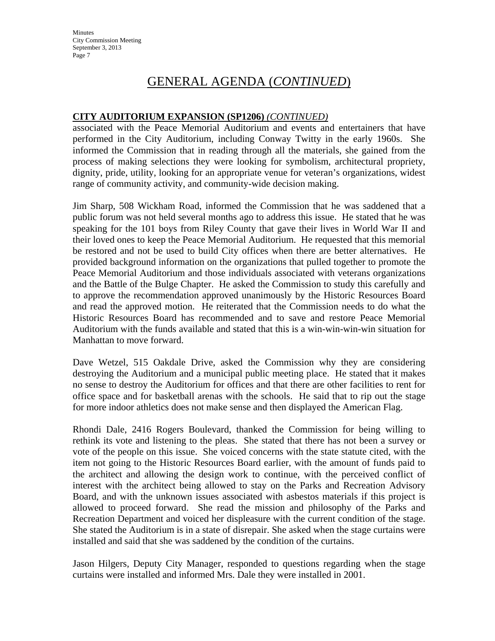**Minutes** City Commission Meeting September 3, 2013 Page 7

## GENERAL AGENDA (*CONTINUED*)

#### **CITY AUDITORIUM EXPANSION (SP1206)** *(CONTINUED)*

associated with the Peace Memorial Auditorium and events and entertainers that have performed in the City Auditorium, including Conway Twitty in the early 1960s. She informed the Commission that in reading through all the materials, she gained from the process of making selections they were looking for symbolism, architectural propriety, dignity, pride, utility, looking for an appropriate venue for veteran's organizations, widest range of community activity, and community-wide decision making.

Jim Sharp, 508 Wickham Road, informed the Commission that he was saddened that a public forum was not held several months ago to address this issue. He stated that he was speaking for the 101 boys from Riley County that gave their lives in World War II and their loved ones to keep the Peace Memorial Auditorium. He requested that this memorial be restored and not be used to build City offices when there are better alternatives. He provided background information on the organizations that pulled together to promote the Peace Memorial Auditorium and those individuals associated with veterans organizations and the Battle of the Bulge Chapter. He asked the Commission to study this carefully and to approve the recommendation approved unanimously by the Historic Resources Board and read the approved motion. He reiterated that the Commission needs to do what the Historic Resources Board has recommended and to save and restore Peace Memorial Auditorium with the funds available and stated that this is a win-win-win-win situation for Manhattan to move forward.

Dave Wetzel, 515 Oakdale Drive, asked the Commission why they are considering destroying the Auditorium and a municipal public meeting place. He stated that it makes no sense to destroy the Auditorium for offices and that there are other facilities to rent for office space and for basketball arenas with the schools. He said that to rip out the stage for more indoor athletics does not make sense and then displayed the American Flag.

Rhondi Dale, 2416 Rogers Boulevard, thanked the Commission for being willing to rethink its vote and listening to the pleas. She stated that there has not been a survey or vote of the people on this issue. She voiced concerns with the state statute cited, with the item not going to the Historic Resources Board earlier, with the amount of funds paid to the architect and allowing the design work to continue, with the perceived conflict of interest with the architect being allowed to stay on the Parks and Recreation Advisory Board, and with the unknown issues associated with asbestos materials if this project is allowed to proceed forward. She read the mission and philosophy of the Parks and Recreation Department and voiced her displeasure with the current condition of the stage. She stated the Auditorium is in a state of disrepair. She asked when the stage curtains were installed and said that she was saddened by the condition of the curtains.

Jason Hilgers, Deputy City Manager, responded to questions regarding when the stage curtains were installed and informed Mrs. Dale they were installed in 2001.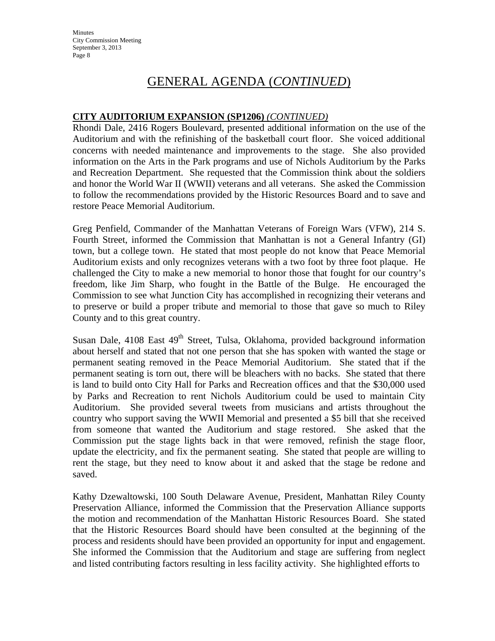**Minutes** City Commission Meeting September 3, 2013 Page 8

## GENERAL AGENDA (*CONTINUED*)

#### **CITY AUDITORIUM EXPANSION (SP1206)** *(CONTINUED)*

Rhondi Dale, 2416 Rogers Boulevard, presented additional information on the use of the Auditorium and with the refinishing of the basketball court floor. She voiced additional concerns with needed maintenance and improvements to the stage. She also provided information on the Arts in the Park programs and use of Nichols Auditorium by the Parks and Recreation Department. She requested that the Commission think about the soldiers and honor the World War II (WWII) veterans and all veterans. She asked the Commission to follow the recommendations provided by the Historic Resources Board and to save and restore Peace Memorial Auditorium.

Greg Penfield, Commander of the Manhattan Veterans of Foreign Wars (VFW), 214 S. Fourth Street, informed the Commission that Manhattan is not a General Infantry (GI) town, but a college town. He stated that most people do not know that Peace Memorial Auditorium exists and only recognizes veterans with a two foot by three foot plaque. He challenged the City to make a new memorial to honor those that fought for our country's freedom, like Jim Sharp, who fought in the Battle of the Bulge. He encouraged the Commission to see what Junction City has accomplished in recognizing their veterans and to preserve or build a proper tribute and memorial to those that gave so much to Riley County and to this great country.

Susan Dale, 4108 East 49<sup>th</sup> Street, Tulsa, Oklahoma, provided background information about herself and stated that not one person that she has spoken with wanted the stage or permanent seating removed in the Peace Memorial Auditorium. She stated that if the permanent seating is torn out, there will be bleachers with no backs. She stated that there is land to build onto City Hall for Parks and Recreation offices and that the \$30,000 used by Parks and Recreation to rent Nichols Auditorium could be used to maintain City Auditorium. She provided several tweets from musicians and artists throughout the country who support saving the WWII Memorial and presented a \$5 bill that she received from someone that wanted the Auditorium and stage restored. She asked that the Commission put the stage lights back in that were removed, refinish the stage floor, update the electricity, and fix the permanent seating. She stated that people are willing to rent the stage, but they need to know about it and asked that the stage be redone and saved.

Kathy Dzewaltowski, 100 South Delaware Avenue, President, Manhattan Riley County Preservation Alliance, informed the Commission that the Preservation Alliance supports the motion and recommendation of the Manhattan Historic Resources Board. She stated that the Historic Resources Board should have been consulted at the beginning of the process and residents should have been provided an opportunity for input and engagement. She informed the Commission that the Auditorium and stage are suffering from neglect and listed contributing factors resulting in less facility activity. She highlighted efforts to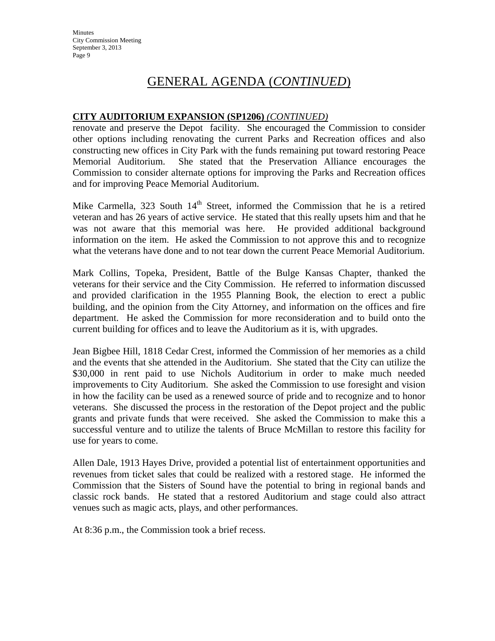## GENERAL AGENDA (*CONTINUED*)

#### **CITY AUDITORIUM EXPANSION (SP1206)** *(CONTINUED)*

renovate and preserve the Depot facility. She encouraged the Commission to consider other options including renovating the current Parks and Recreation offices and also constructing new offices in City Park with the funds remaining put toward restoring Peace Memorial Auditorium. She stated that the Preservation Alliance encourages the Commission to consider alternate options for improving the Parks and Recreation offices and for improving Peace Memorial Auditorium.

Mike Carmella, 323 South  $14<sup>th</sup>$  Street, informed the Commission that he is a retired veteran and has 26 years of active service. He stated that this really upsets him and that he was not aware that this memorial was here. He provided additional background information on the item. He asked the Commission to not approve this and to recognize what the veterans have done and to not tear down the current Peace Memorial Auditorium.

Mark Collins, Topeka, President, Battle of the Bulge Kansas Chapter, thanked the veterans for their service and the City Commission. He referred to information discussed and provided clarification in the 1955 Planning Book, the election to erect a public building, and the opinion from the City Attorney, and information on the offices and fire department. He asked the Commission for more reconsideration and to build onto the current building for offices and to leave the Auditorium as it is, with upgrades.

Jean Bigbee Hill, 1818 Cedar Crest, informed the Commission of her memories as a child and the events that she attended in the Auditorium. She stated that the City can utilize the \$30,000 in rent paid to use Nichols Auditorium in order to make much needed improvements to City Auditorium. She asked the Commission to use foresight and vision in how the facility can be used as a renewed source of pride and to recognize and to honor veterans. She discussed the process in the restoration of the Depot project and the public grants and private funds that were received. She asked the Commission to make this a successful venture and to utilize the talents of Bruce McMillan to restore this facility for use for years to come.

Allen Dale, 1913 Hayes Drive, provided a potential list of entertainment opportunities and revenues from ticket sales that could be realized with a restored stage. He informed the Commission that the Sisters of Sound have the potential to bring in regional bands and classic rock bands. He stated that a restored Auditorium and stage could also attract venues such as magic acts, plays, and other performances.

At 8:36 p.m., the Commission took a brief recess.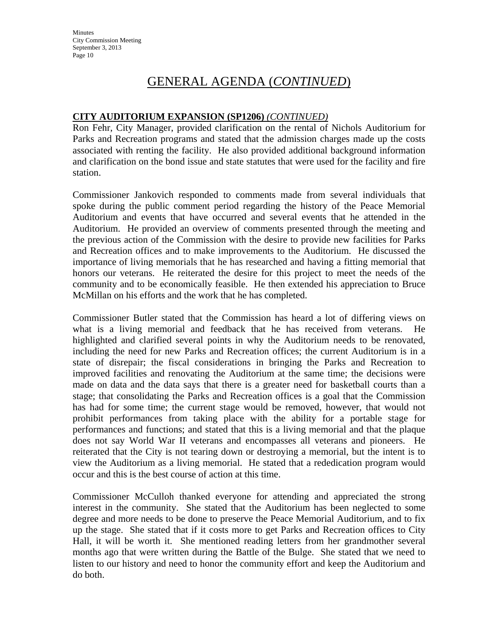## GENERAL AGENDA (*CONTINUED*)

#### **CITY AUDITORIUM EXPANSION (SP1206)** *(CONTINUED)*

Ron Fehr, City Manager, provided clarification on the rental of Nichols Auditorium for Parks and Recreation programs and stated that the admission charges made up the costs associated with renting the facility. He also provided additional background information and clarification on the bond issue and state statutes that were used for the facility and fire station.

Commissioner Jankovich responded to comments made from several individuals that spoke during the public comment period regarding the history of the Peace Memorial Auditorium and events that have occurred and several events that he attended in the Auditorium. He provided an overview of comments presented through the meeting and the previous action of the Commission with the desire to provide new facilities for Parks and Recreation offices and to make improvements to the Auditorium. He discussed the importance of living memorials that he has researched and having a fitting memorial that honors our veterans. He reiterated the desire for this project to meet the needs of the community and to be economically feasible. He then extended his appreciation to Bruce McMillan on his efforts and the work that he has completed.

Commissioner Butler stated that the Commission has heard a lot of differing views on what is a living memorial and feedback that he has received from veterans. He highlighted and clarified several points in why the Auditorium needs to be renovated, including the need for new Parks and Recreation offices; the current Auditorium is in a state of disrepair; the fiscal considerations in bringing the Parks and Recreation to improved facilities and renovating the Auditorium at the same time; the decisions were made on data and the data says that there is a greater need for basketball courts than a stage; that consolidating the Parks and Recreation offices is a goal that the Commission has had for some time; the current stage would be removed, however, that would not prohibit performances from taking place with the ability for a portable stage for performances and functions; and stated that this is a living memorial and that the plaque does not say World War II veterans and encompasses all veterans and pioneers. He reiterated that the City is not tearing down or destroying a memorial, but the intent is to view the Auditorium as a living memorial. He stated that a rededication program would occur and this is the best course of action at this time.

Commissioner McCulloh thanked everyone for attending and appreciated the strong interest in the community. She stated that the Auditorium has been neglected to some degree and more needs to be done to preserve the Peace Memorial Auditorium, and to fix up the stage. She stated that if it costs more to get Parks and Recreation offices to City Hall, it will be worth it. She mentioned reading letters from her grandmother several months ago that were written during the Battle of the Bulge. She stated that we need to listen to our history and need to honor the community effort and keep the Auditorium and do both.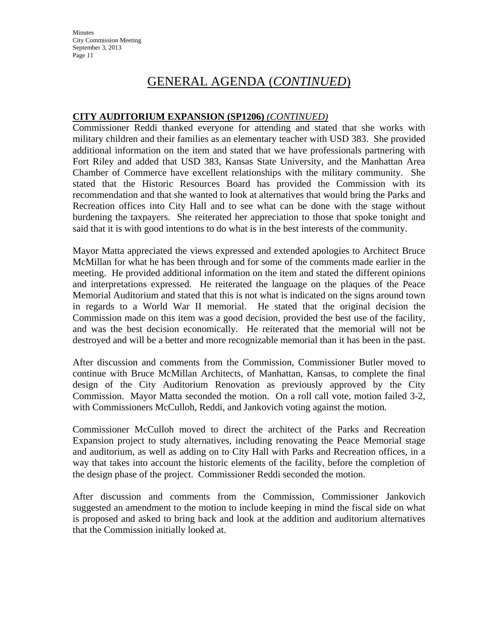**Minutes** City Commission Meeting September 3, 2013 Page 11

## GENERAL AGENDA (*CONTINUED*)

#### **CITY AUDITORIUM EXPANSION (SP1206)** *(CONTINUED)*

Commissioner Reddi thanked everyone for attending and stated that she works with military children and their families as an elementary teacher with USD 383. She provided additional information on the item and stated that we have professionals partnering with Fort Riley and added that USD 383, Kansas State University, and the Manhattan Area Chamber of Commerce have excellent relationships with the military community. She stated that the Historic Resources Board has provided the Commission with its recommendation and that she wanted to look at alternatives that would bring the Parks and Recreation offices into City Hall and to see what can be done with the stage without burdening the taxpayers. She reiterated her appreciation to those that spoke tonight and said that it is with good intentions to do what is in the best interests of the community.

Mayor Matta appreciated the views expressed and extended apologies to Architect Bruce McMillan for what he has been through and for some of the comments made earlier in the meeting. He provided additional information on the item and stated the different opinions and interpretations expressed. He reiterated the language on the plaques of the Peace Memorial Auditorium and stated that this is not what is indicated on the signs around town in regards to a World War II memorial. He stated that the original decision the Commission made on this item was a good decision, provided the best use of the facility, and was the best decision economically. He reiterated that the memorial will not be destroyed and will be a better and more recognizable memorial than it has been in the past.

After discussion and comments from the Commission, Commissioner Butler moved to continue with Bruce McMillan Architects, of Manhattan, Kansas, to complete the final design of the City Auditorium Renovation as previously approved by the City Commission. Mayor Matta seconded the motion. On a roll call vote, motion failed 3-2, with Commissioners McCulloh, Reddi, and Jankovich voting against the motion.

Commissioner McCulloh moved to direct the architect of the Parks and Recreation Expansion project to study alternatives, including renovating the Peace Memorial stage and auditorium, as well as adding on to City Hall with Parks and Recreation offices, in a way that takes into account the historic elements of the facility, before the completion of the design phase of the project. Commissioner Reddi seconded the motion.

After discussion and comments from the Commission, Commissioner Jankovich suggested an amendment to the motion to include keeping in mind the fiscal side on what is proposed and asked to bring back and look at the addition and auditorium alternatives that the Commission initially looked at.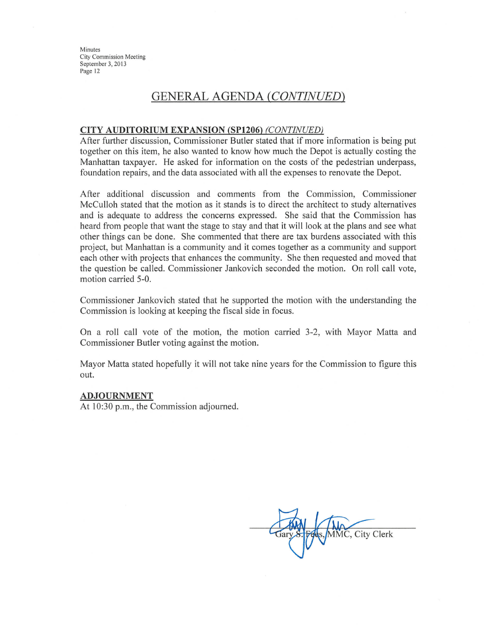Minutes City Commission Meeting September 3, 2013 Page 12

## **GENERAL AGENDA (CONTINUED)**

#### **CITY AUDITORIUM EXPANSION (SP1206) (CONTINUED)**

After further discussion, Commissioner Butler stated that if more information is being put together on this item, he also wanted to know how much the Depot is actually costing the Manhattan taxpayer. He asked for information on the costs of the pedestrian underpass, foundation repairs, and the data associated with all the expenses to renovate the Depot.

After additional discussion and comments from the Commission, Commissioner McCulloh stated that the motion as it stands is to direct the architect to study alternatives and is adequate to address the concerns expressed. She said that the Commission has heard from people that want the stage to stay and that it will look at the plans and see what other things can be done. She commented that there are tax burdens associated with this project, but Manhattan is a community and it comes together as a community and support each other with projects that enhances the community. She then requested and moved that the question be called. Commissioner Jankovich seconded the motion. On roll call vote, motion carried 5-0.

Commissioner Jankovich stated that he supported the motion with the understanding the Commission is looking at keeping the fiscal side in focus.

On a roll call vote of the motion, the motion carried 3-2, with Mayor Matta and Commissioner Butler voting against the motion.

Mayor Matta stated hopefully it will not take nine years for the Commission to figure this out.

#### **ADJOURNMENT**

At 10:30 p.m., the Commission adjourned.

MMC, City Clerk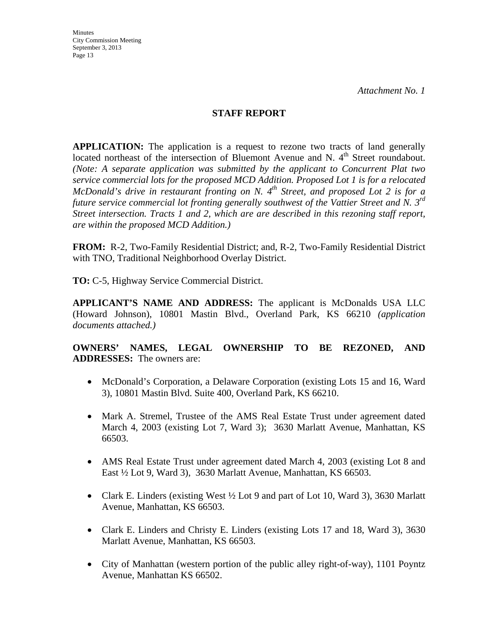#### **STAFF REPORT**

**APPLICATION:** The application is a request to rezone two tracts of land generally located northeast of the intersection of Bluemont Avenue and N. 4<sup>th</sup> Street roundabout. *(Note: A separate application was submitted by the applicant to Concurrent Plat two service commercial lots for the proposed MCD Addition. Proposed Lot 1 is for a relocated McDonald's drive in restaurant fronting on N. 4<sup>th</sup> Street, and proposed Lot 2 is for a future service commercial lot fronting generally southwest of the Vattier Street and N. 3rd Street intersection. Tracts 1 and 2, which are are described in this rezoning staff report, are within the proposed MCD Addition.)* 

**FROM:** R-2, Two-Family Residential District; and, R-2, Two-Family Residential District with TNO, Traditional Neighborhood Overlay District.

**TO:** C-5, Highway Service Commercial District.

**APPLICANT'S NAME AND ADDRESS:** The applicant is McDonalds USA LLC (Howard Johnson), 10801 Mastin Blvd., Overland Park, KS 66210 *(application documents attached.)*

**OWNERS' NAMES, LEGAL OWNERSHIP TO BE REZONED, AND ADDRESSES:** The owners are:

- McDonald's Corporation, a Delaware Corporation (existing Lots 15 and 16, Ward 3), 10801 Mastin Blvd. Suite 400, Overland Park, KS 66210.
- Mark A. Stremel, Trustee of the AMS Real Estate Trust under agreement dated March 4, 2003 (existing Lot 7, Ward 3); 3630 Marlatt Avenue, Manhattan, KS 66503.
- AMS Real Estate Trust under agreement dated March 4, 2003 (existing Lot 8 and East ½ Lot 9, Ward 3), 3630 Marlatt Avenue, Manhattan, KS 66503.
- Clark E. Linders (existing West  $\frac{1}{2}$  Lot 9 and part of Lot 10, Ward 3), 3630 Marlatt Avenue, Manhattan, KS 66503.
- Clark E. Linders and Christy E. Linders (existing Lots 17 and 18, Ward 3), 3630 Marlatt Avenue, Manhattan, KS 66503.
- City of Manhattan (western portion of the public alley right-of-way), 1101 Poyntz Avenue, Manhattan KS 66502.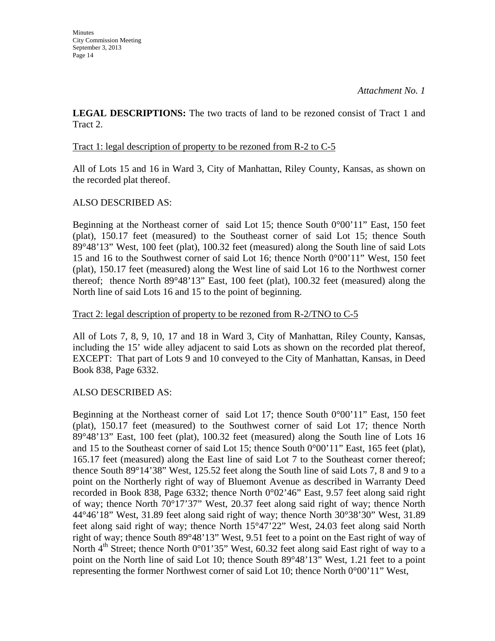**LEGAL DESCRIPTIONS:** The two tracts of land to be rezoned consist of Tract 1 and Tract 2.

#### Tract 1: legal description of property to be rezoned from R-2 to C-5

All of Lots 15 and 16 in Ward 3, City of Manhattan, Riley County, Kansas, as shown on the recorded plat thereof.

### ALSO DESCRIBED AS:

Beginning at the Northeast corner of said Lot 15; thence South 0°00'11" East, 150 feet (plat), 150.17 feet (measured) to the Southeast corner of said Lot 15; thence South 89°48'13" West, 100 feet (plat), 100.32 feet (measured) along the South line of said Lots 15 and 16 to the Southwest corner of said Lot 16; thence North 0°00'11" West, 150 feet (plat), 150.17 feet (measured) along the West line of said Lot 16 to the Northwest corner thereof; thence North 89°48'13" East, 100 feet (plat), 100.32 feet (measured) along the North line of said Lots 16 and 15 to the point of beginning.

#### Tract 2: legal description of property to be rezoned from R-2/TNO to C-5

All of Lots 7, 8, 9, 10, 17 and 18 in Ward 3, City of Manhattan, Riley County, Kansas, including the 15' wide alley adjacent to said Lots as shown on the recorded plat thereof, EXCEPT: That part of Lots 9 and 10 conveyed to the City of Manhattan, Kansas, in Deed Book 838, Page 6332.

### ALSO DESCRIBED AS:

Beginning at the Northeast corner of said Lot 17; thence South  $0^{\circ}00'11''$  East, 150 feet (plat), 150.17 feet (measured) to the Southwest corner of said Lot 17; thence North 89°48'13" East, 100 feet (plat), 100.32 feet (measured) along the South line of Lots 16 and 15 to the Southeast corner of said Lot 15; thence South 0°00'11" East, 165 feet (plat), 165.17 feet (measured) along the East line of said Lot 7 to the Southeast corner thereof; thence South 89°14'38" West, 125.52 feet along the South line of said Lots 7, 8 and 9 to a point on the Northerly right of way of Bluemont Avenue as described in Warranty Deed recorded in Book 838, Page 6332; thence North 0°02'46" East, 9.57 feet along said right of way; thence North 70°17'37" West, 20.37 feet along said right of way; thence North 44°46'18" West, 31.89 feet along said right of way; thence North 30°38'30" West, 31.89 feet along said right of way; thence North 15°47'22" West, 24.03 feet along said North right of way; thence South 89°48'13" West, 9.51 feet to a point on the East right of way of North  $4<sup>th</sup>$  Street; thence North 0°01'35" West, 60.32 feet along said East right of way to a point on the North line of said Lot 10; thence South 89°48'13" West, 1.21 feet to a point representing the former Northwest corner of said Lot 10; thence North 0°00'11" West,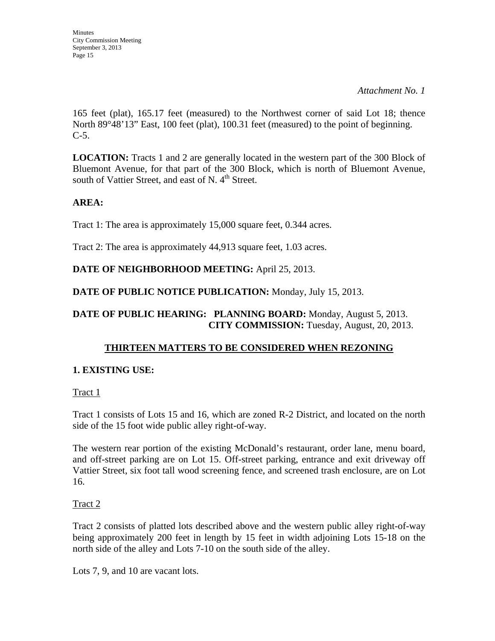165 feet (plat), 165.17 feet (measured) to the Northwest corner of said Lot 18; thence North 89°48'13" East, 100 feet (plat), 100.31 feet (measured) to the point of beginning.  $C-5$ .

**LOCATION:** Tracts 1 and 2 are generally located in the western part of the 300 Block of Bluemont Avenue, for that part of the 300 Block, which is north of Bluemont Avenue, south of Vattier Street, and east of N.  $4<sup>th</sup>$  Street.

## **AREA:**

Tract 1: The area is approximately 15,000 square feet, 0.344 acres.

Tract 2: The area is approximately 44,913 square feet, 1.03 acres.

## **DATE OF NEIGHBORHOOD MEETING:** April 25, 2013.

**DATE OF PUBLIC NOTICE PUBLICATION:** Monday, July 15, 2013.

### **DATE OF PUBLIC HEARING: PLANNING BOARD:** Monday, August 5, 2013. **CITY COMMISSION:** Tuesday, August, 20, 2013.

## **THIRTEEN MATTERS TO BE CONSIDERED WHEN REZONING**

## **1. EXISTING USE:**

Tract 1

Tract 1 consists of Lots 15 and 16, which are zoned R-2 District, and located on the north side of the 15 foot wide public alley right-of-way.

The western rear portion of the existing McDonald's restaurant, order lane, menu board, and off-street parking are on Lot 15. Off-street parking, entrance and exit driveway off Vattier Street, six foot tall wood screening fence, and screened trash enclosure, are on Lot 16.

## Tract 2

Tract 2 consists of platted lots described above and the western public alley right-of-way being approximately 200 feet in length by 15 feet in width adjoining Lots 15-18 on the north side of the alley and Lots 7-10 on the south side of the alley.

Lots 7, 9, and 10 are vacant lots.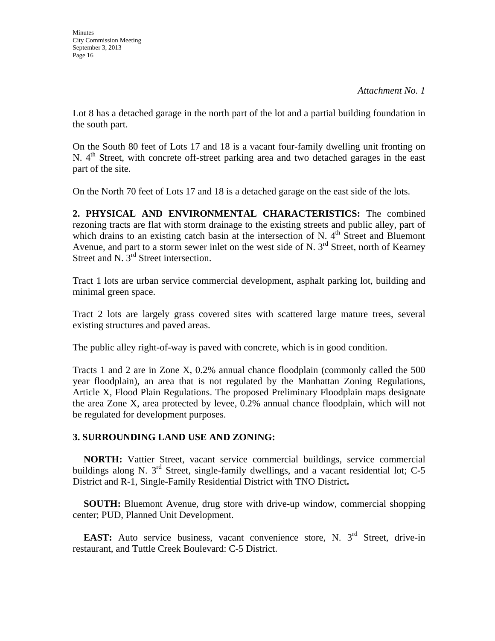Lot 8 has a detached garage in the north part of the lot and a partial building foundation in the south part.

On the South 80 feet of Lots 17 and 18 is a vacant four-family dwelling unit fronting on N.  $4<sup>th</sup>$  Street, with concrete off-street parking area and two detached garages in the east part of the site.

On the North 70 feet of Lots 17 and 18 is a detached garage on the east side of the lots.

**2. PHYSICAL AND ENVIRONMENTAL CHARACTERISTICS:** The combined rezoning tracts are flat with storm drainage to the existing streets and public alley, part of which drains to an existing catch basin at the intersection of N.  $4<sup>th</sup>$  Street and Bluemont Avenue, and part to a storm sewer inlet on the west side of N.  $3<sup>rd</sup>$  Street, north of Kearney Street and N. 3<sup>rd</sup> Street intersection.

Tract 1 lots are urban service commercial development, asphalt parking lot, building and minimal green space.

Tract 2 lots are largely grass covered sites with scattered large mature trees, several existing structures and paved areas.

The public alley right-of-way is paved with concrete, which is in good condition.

Tracts 1 and 2 are in Zone X, 0.2% annual chance floodplain (commonly called the 500 year floodplain), an area that is not regulated by the Manhattan Zoning Regulations, Article X, Flood Plain Regulations. The proposed Preliminary Floodplain maps designate the area Zone X, area protected by levee, 0.2% annual chance floodplain, which will not be regulated for development purposes.

## **3. SURROUNDING LAND USE AND ZONING:**

 **NORTH:** Vattier Street, vacant service commercial buildings, service commercial buildings along N. 3<sup>rd</sup> Street, single-family dwellings, and a vacant residential lot; C-5 District and R-1, Single-Family Residential District with TNO District**.**

**SOUTH:** Bluemont Avenue, drug store with drive-up window, commercial shopping center; PUD, Planned Unit Development.

**EAST:** Auto service business, vacant convenience store, N. 3<sup>rd</sup> Street, drive-in restaurant, and Tuttle Creek Boulevard: C-5 District.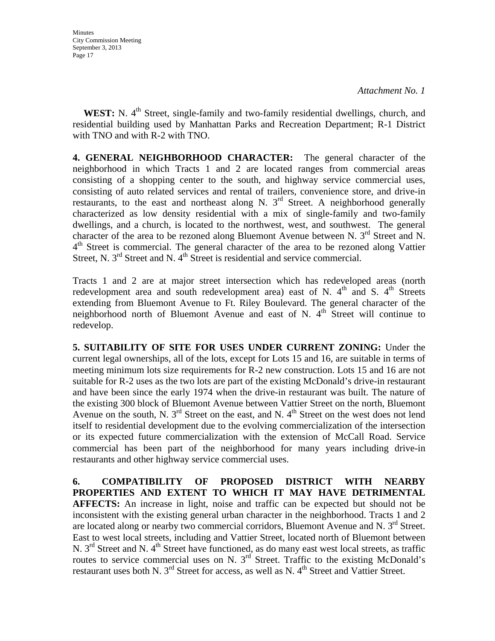**WEST:** N. 4<sup>th</sup> Street, single-family and two-family residential dwellings, church, and residential building used by Manhattan Parks and Recreation Department; R-1 District with TNO and with R-2 with TNO.

**4. GENERAL NEIGHBORHOOD CHARACTER:** The general character of the neighborhood in which Tracts 1 and 2 are located ranges from commercial areas consisting of a shopping center to the south, and highway service commercial uses, consisting of auto related services and rental of trailers, convenience store, and drive-in restaurants, to the east and northeast along N.  $3<sup>rd</sup>$  Street. A neighborhood generally characterized as low density residential with a mix of single-family and two-family dwellings, and a church, is located to the northwest, west, and southwest. The general character of the area to be rezoned along Bluemont Avenue between N.  $3<sup>rd</sup>$  Street and N.  $4<sup>th</sup>$  Street is commercial. The general character of the area to be rezoned along Vattier Street, N.  $3<sup>rd</sup>$  Street and N.  $4<sup>th</sup>$  Street is residential and service commercial.

Tracts 1 and 2 are at major street intersection which has redeveloped areas (north redevelopment area and south redevelopment area) east of N.  $4<sup>th</sup>$  and S.  $4<sup>th</sup>$  Streets extending from Bluemont Avenue to Ft. Riley Boulevard. The general character of the neighborhood north of Bluemont Avenue and east of N.  $4<sup>th</sup>$  Street will continue to redevelop.

**5. SUITABILITY OF SITE FOR USES UNDER CURRENT ZONING:** Under the current legal ownerships, all of the lots, except for Lots 15 and 16, are suitable in terms of meeting minimum lots size requirements for R-2 new construction. Lots 15 and 16 are not suitable for R-2 uses as the two lots are part of the existing McDonald's drive-in restaurant and have been since the early 1974 when the drive-in restaurant was built. The nature of the existing 300 block of Bluemont Avenue between Vattier Street on the north, Bluemont Avenue on the south, N.  $3^{rd}$  Street on the east, and N.  $4^{th}$  Street on the west does not lend itself to residential development due to the evolving commercialization of the intersection or its expected future commercialization with the extension of McCall Road. Service commercial has been part of the neighborhood for many years including drive-in restaurants and other highway service commercial uses.

**6. COMPATIBILITY OF PROPOSED DISTRICT WITH NEARBY PROPERTIES AND EXTENT TO WHICH IT MAY HAVE DETRIMENTAL AFFECTS:** An increase in light, noise and traffic can be expected but should not be inconsistent with the existing general urban character in the neighborhood. Tracts 1 and 2 are located along or nearby two commercial corridors, Bluemont Avenue and N.  $3<sup>rd</sup>$  Street. East to west local streets, including and Vattier Street, located north of Bluemont between N.  $3<sup>rd</sup>$  Street and N. 4<sup>th</sup> Street have functioned, as do many east west local streets, as traffic routes to service commercial uses on N.  $3<sup>rd</sup>$  Street. Traffic to the existing McDonald's restaurant uses both N.  $3<sup>rd</sup>$  Street for access, as well as N.  $4<sup>th</sup>$  Street and Vattier Street.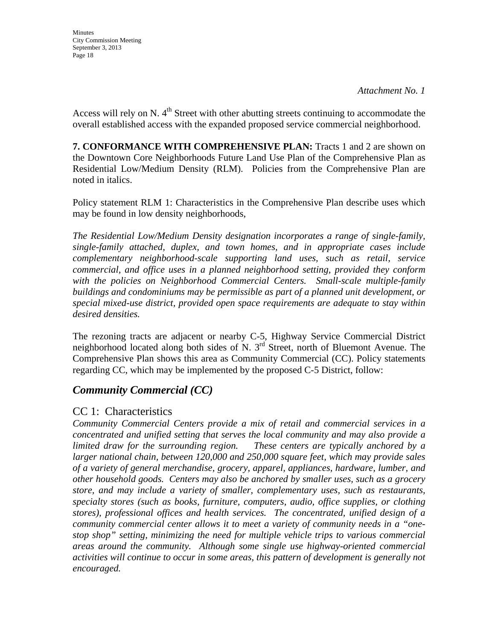Access will rely on N.  $4<sup>th</sup>$  Street with other abutting streets continuing to accommodate the overall established access with the expanded proposed service commercial neighborhood.

**7. CONFORMANCE WITH COMPREHENSIVE PLAN:** Tracts 1 and 2 are shown on the Downtown Core Neighborhoods Future Land Use Plan of the Comprehensive Plan as Residential Low/Medium Density (RLM). Policies from the Comprehensive Plan are noted in italics.

Policy statement RLM 1: Characteristics in the Comprehensive Plan describe uses which may be found in low density neighborhoods,

*The Residential Low/Medium Density designation incorporates a range of single-family, single-family attached, duplex, and town homes, and in appropriate cases include complementary neighborhood-scale supporting land uses, such as retail, service commercial, and office uses in a planned neighborhood setting, provided they conform with the policies on Neighborhood Commercial Centers. Small-scale multiple-family buildings and condominiums may be permissible as part of a planned unit development, or special mixed-use district, provided open space requirements are adequate to stay within desired densities.* 

The rezoning tracts are adjacent or nearby C-5, Highway Service Commercial District neighborhood located along both sides of N. 3<sup>rd</sup> Street, north of Bluemont Avenue. The Comprehensive Plan shows this area as Community Commercial (CC). Policy statements regarding CC, which may be implemented by the proposed C-5 District, follow:

## *Community Commercial (CC)*

## CC 1: Characteristics

*Community Commercial Centers provide a mix of retail and commercial services in a concentrated and unified setting that serves the local community and may also provide a limited draw for the surrounding region. These centers are typically anchored by a larger national chain, between 120,000 and 250,000 square feet, which may provide sales of a variety of general merchandise, grocery, apparel, appliances, hardware, lumber, and other household goods. Centers may also be anchored by smaller uses, such as a grocery store, and may include a variety of smaller, complementary uses, such as restaurants, specialty stores (such as books, furniture, computers, audio, office supplies, or clothing stores), professional offices and health services. The concentrated, unified design of a community commercial center allows it to meet a variety of community needs in a "onestop shop" setting, minimizing the need for multiple vehicle trips to various commercial areas around the community. Although some single use highway-oriented commercial activities will continue to occur in some areas, this pattern of development is generally not encouraged.*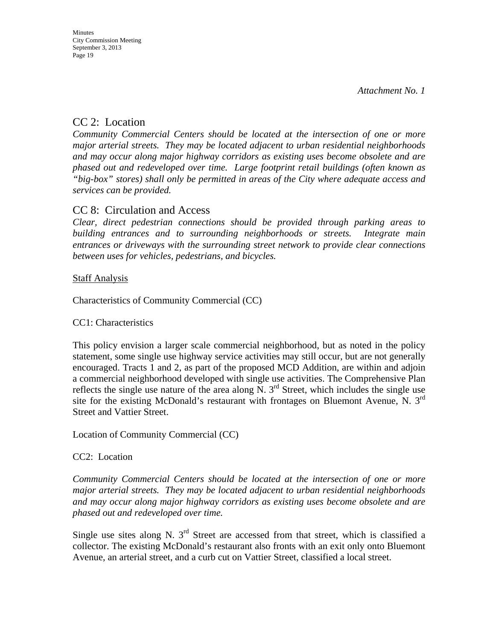## CC 2: Location

*Community Commercial Centers should be located at the intersection of one or more major arterial streets. They may be located adjacent to urban residential neighborhoods and may occur along major highway corridors as existing uses become obsolete and are phased out and redeveloped over time. Large footprint retail buildings (often known as "big-box" stores) shall only be permitted in areas of the City where adequate access and services can be provided.* 

## CC 8: Circulation and Access

*Clear, direct pedestrian connections should be provided through parking areas to building entrances and to surrounding neighborhoods or streets. Integrate main entrances or driveways with the surrounding street network to provide clear connections between uses for vehicles, pedestrians, and bicycles.* 

### **Staff Analysis**

Characteristics of Community Commercial (CC)

### CC1: Characteristics

This policy envision a larger scale commercial neighborhood, but as noted in the policy statement, some single use highway service activities may still occur, but are not generally encouraged. Tracts 1 and 2, as part of the proposed MCD Addition, are within and adjoin a commercial neighborhood developed with single use activities. The Comprehensive Plan reflects the single use nature of the area along  $\overline{N}$ . 3<sup>rd</sup> Street, which includes the single use site for the existing McDonald's restaurant with frontages on Bluemont Avenue, N. 3rd Street and Vattier Street.

Location of Community Commercial (CC)

## CC2: Location

*Community Commercial Centers should be located at the intersection of one or more major arterial streets. They may be located adjacent to urban residential neighborhoods and may occur along major highway corridors as existing uses become obsolete and are phased out and redeveloped over time.* 

Single use sites along N.  $3<sup>rd</sup>$  Street are accessed from that street, which is classified a collector. The existing McDonald's restaurant also fronts with an exit only onto Bluemont Avenue, an arterial street, and a curb cut on Vattier Street, classified a local street.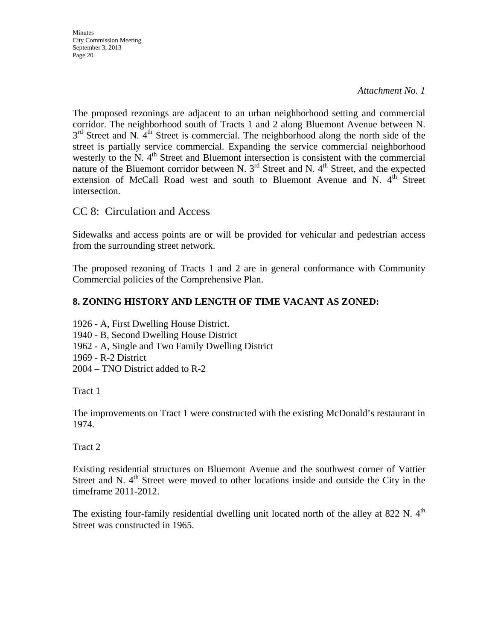The proposed rezonings are adjacent to an urban neighborhood setting and commercial corridor. The neighborhood south of Tracts 1 and 2 along Bluemont Avenue between N.  $3<sup>rd</sup>$  Street and N. 4<sup>th</sup> Street is commercial. The neighborhood along the north side of the street is partially service commercial. Expanding the service commercial neighborhood westerly to the N.  $4<sup>th</sup>$  Street and Bluemont intersection is consistent with the commercial nature of the Bluemont corridor between N.  $3<sup>rd</sup>$  Street and N.  $4<sup>th</sup>$  Street, and the expected extension of McCall Road west and south to Bluemont Avenue and N.  $4<sup>th</sup>$  Street intersection.

## CC 8: Circulation and Access

Sidewalks and access points are or will be provided for vehicular and pedestrian access from the surrounding street network.

The proposed rezoning of Tracts 1 and 2 are in general conformance with Community Commercial policies of the Comprehensive Plan.

### **8. ZONING HISTORY AND LENGTH OF TIME VACANT AS ZONED:**

1926 - A, First Dwelling House District.

- 1940 B, Second Dwelling House District
- 1962 A, Single and Two Family Dwelling District
- 1969 R-2 District
- 2004 TNO District added to R-2

Tract 1

The improvements on Tract 1 were constructed with the existing McDonald's restaurant in 1974.

### Tract 2

Existing residential structures on Bluemont Avenue and the southwest corner of Vattier Street and N. 4<sup>th</sup> Street were moved to other locations inside and outside the City in the timeframe 2011-2012.

The existing four-family residential dwelling unit located north of the alley at 822 N.  $4<sup>th</sup>$ Street was constructed in 1965.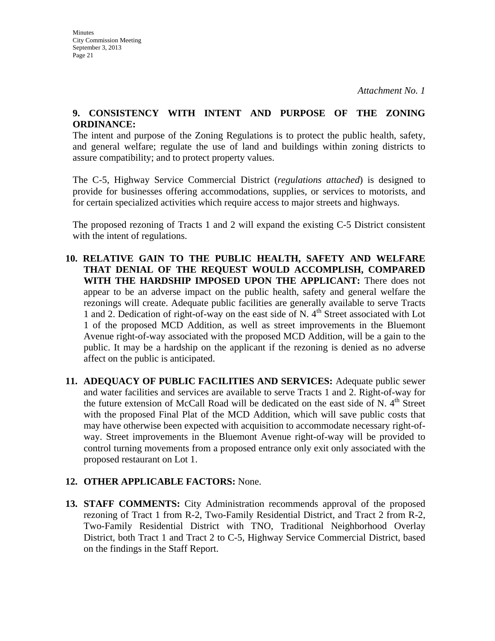#### **9. CONSISTENCY WITH INTENT AND PURPOSE OF THE ZONING ORDINANCE:**

The intent and purpose of the Zoning Regulations is to protect the public health, safety, and general welfare; regulate the use of land and buildings within zoning districts to assure compatibility; and to protect property values.

The C-5, Highway Service Commercial District (*regulations attached*) is designed to provide for businesses offering accommodations, supplies, or services to motorists, and for certain specialized activities which require access to major streets and highways.

The proposed rezoning of Tracts 1 and 2 will expand the existing C-5 District consistent with the intent of regulations.

- **10. RELATIVE GAIN TO THE PUBLIC HEALTH, SAFETY AND WELFARE THAT DENIAL OF THE REQUEST WOULD ACCOMPLISH, COMPARED WITH THE HARDSHIP IMPOSED UPON THE APPLICANT:** There does not appear to be an adverse impact on the public health, safety and general welfare the rezonings will create. Adequate public facilities are generally available to serve Tracts 1 and 2. Dedication of right-of-way on the east side of N.  $4<sup>th</sup>$  Street associated with Lot 1 of the proposed MCD Addition, as well as street improvements in the Bluemont Avenue right-of-way associated with the proposed MCD Addition, will be a gain to the public. It may be a hardship on the applicant if the rezoning is denied as no adverse affect on the public is anticipated.
- **11. ADEQUACY OF PUBLIC FACILITIES AND SERVICES:** Adequate public sewer and water facilities and services are available to serve Tracts 1 and 2. Right-of-way for the future extension of McCall Road will be dedicated on the east side of N.  $4<sup>th</sup>$  Street with the proposed Final Plat of the MCD Addition, which will save public costs that may have otherwise been expected with acquisition to accommodate necessary right-ofway. Street improvements in the Bluemont Avenue right-of-way will be provided to control turning movements from a proposed entrance only exit only associated with the proposed restaurant on Lot 1.

## **12. OTHER APPLICABLE FACTORS:** None.

**13. STAFF COMMENTS:** City Administration recommends approval of the proposed rezoning of Tract 1 from R-2, Two-Family Residential District, and Tract 2 from R-2, Two-Family Residential District with TNO, Traditional Neighborhood Overlay District, both Tract 1 and Tract 2 to C-5, Highway Service Commercial District, based on the findings in the Staff Report.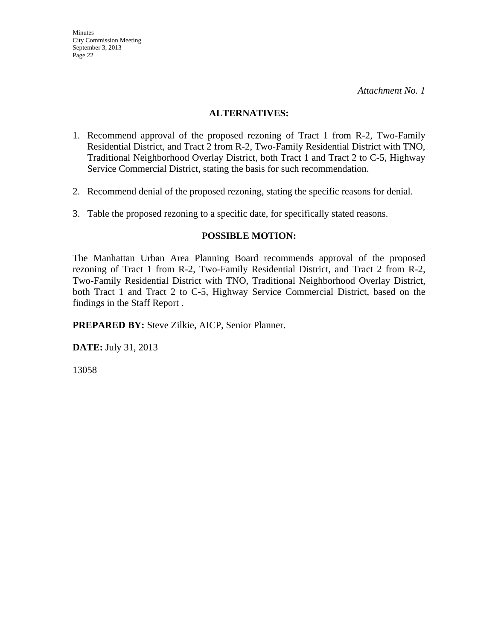#### **ALTERNATIVES:**

- 1. Recommend approval of the proposed rezoning of Tract 1 from R-2, Two-Family Residential District, and Tract 2 from R-2, Two-Family Residential District with TNO, Traditional Neighborhood Overlay District, both Tract 1 and Tract 2 to C-5, Highway Service Commercial District, stating the basis for such recommendation.
- 2. Recommend denial of the proposed rezoning, stating the specific reasons for denial.
- 3. Table the proposed rezoning to a specific date, for specifically stated reasons.

#### **POSSIBLE MOTION:**

The Manhattan Urban Area Planning Board recommends approval of the proposed rezoning of Tract 1 from R-2, Two-Family Residential District, and Tract 2 from R-2, Two-Family Residential District with TNO, Traditional Neighborhood Overlay District, both Tract 1 and Tract 2 to C-5, Highway Service Commercial District, based on the findings in the Staff Report .

**PREPARED BY:** Steve Zilkie, AICP, Senior Planner.

**DATE:** July 31, 2013

13058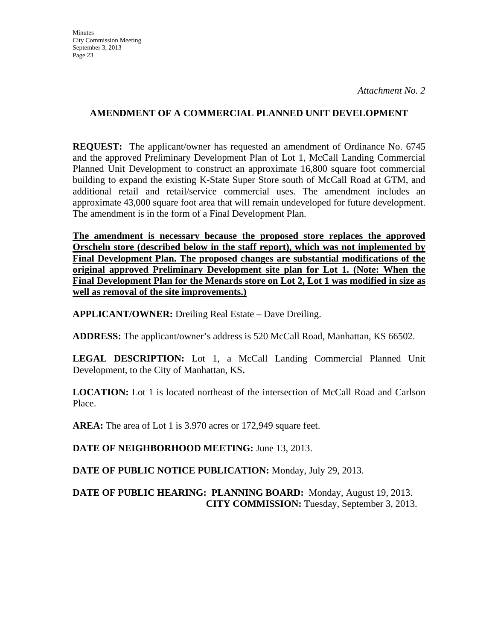### **AMENDMENT OF A COMMERCIAL PLANNED UNIT DEVELOPMENT**

**REQUEST:** The applicant/owner has requested an amendment of Ordinance No. 6745 and the approved Preliminary Development Plan of Lot 1, McCall Landing Commercial Planned Unit Development to construct an approximate 16,800 square foot commercial building to expand the existing K-State Super Store south of McCall Road at GTM, and additional retail and retail/service commercial uses. The amendment includes an approximate 43,000 square foot area that will remain undeveloped for future development. The amendment is in the form of a Final Development Plan.

**The amendment is necessary because the proposed store replaces the approved Orscheln store (described below in the staff report), which was not implemented by Final Development Plan. The proposed changes are substantial modifications of the original approved Preliminary Development site plan for Lot 1. (Note: When the Final Development Plan for the Menards store on Lot 2, Lot 1 was modified in size as well as removal of the site improvements.)**

**APPLICANT/OWNER:** Dreiling Real Estate – Dave Dreiling.

**ADDRESS:** The applicant/owner's address is 520 McCall Road, Manhattan, KS 66502.

LEGAL DESCRIPTION: Lot 1, a McCall Landing Commercial Planned Unit Development, to the City of Manhattan, KS**.** 

**LOCATION:** Lot 1 is located northeast of the intersection of McCall Road and Carlson Place.

**AREA:** The area of Lot 1 is 3.970 acres or 172,949 square feet.

**DATE OF NEIGHBORHOOD MEETING:** June 13, 2013.

**DATE OF PUBLIC NOTICE PUBLICATION:** Monday, July 29, 2013.

### **DATE OF PUBLIC HEARING: PLANNING BOARD:** Monday, August 19, 2013. **CITY COMMISSION:** Tuesday, September 3, 2013.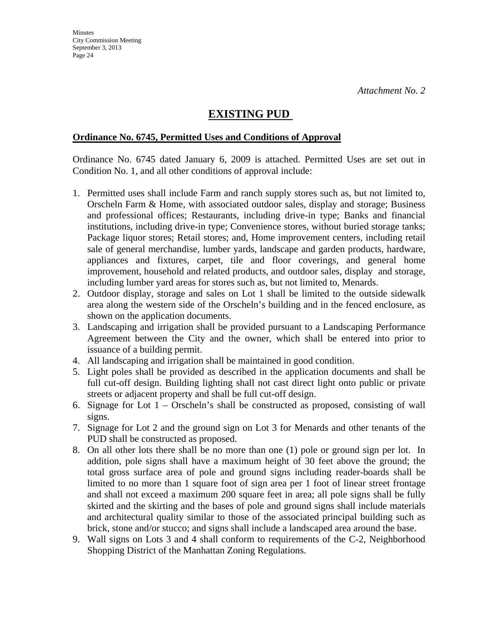## **EXISTING PUD**

#### **Ordinance No. 6745, Permitted Uses and Conditions of Approval**

Ordinance No. 6745 dated January 6, 2009 is attached. Permitted Uses are set out in Condition No. 1, and all other conditions of approval include:

- 1. Permitted uses shall include Farm and ranch supply stores such as, but not limited to, Orscheln Farm & Home, with associated outdoor sales, display and storage; Business and professional offices; Restaurants, including drive-in type; Banks and financial institutions, including drive-in type; Convenience stores, without buried storage tanks; Package liquor stores; Retail stores; and, Home improvement centers, including retail sale of general merchandise, lumber yards, landscape and garden products, hardware, appliances and fixtures, carpet, tile and floor coverings, and general home improvement, household and related products, and outdoor sales, display and storage, including lumber yard areas for stores such as, but not limited to, Menards.
- 2. Outdoor display, storage and sales on Lot 1 shall be limited to the outside sidewalk area along the western side of the Orscheln's building and in the fenced enclosure, as shown on the application documents.
- 3. Landscaping and irrigation shall be provided pursuant to a Landscaping Performance Agreement between the City and the owner, which shall be entered into prior to issuance of a building permit.
- 4. All landscaping and irrigation shall be maintained in good condition.
- 5. Light poles shall be provided as described in the application documents and shall be full cut-off design. Building lighting shall not cast direct light onto public or private streets or adjacent property and shall be full cut-off design.
- 6. Signage for Lot 1 Orscheln's shall be constructed as proposed, consisting of wall signs.
- 7. Signage for Lot 2 and the ground sign on Lot 3 for Menards and other tenants of the PUD shall be constructed as proposed.
- 8. On all other lots there shall be no more than one (1) pole or ground sign per lot. In addition, pole signs shall have a maximum height of 30 feet above the ground; the total gross surface area of pole and ground signs including reader-boards shall be limited to no more than 1 square foot of sign area per 1 foot of linear street frontage and shall not exceed a maximum 200 square feet in area; all pole signs shall be fully skirted and the skirting and the bases of pole and ground signs shall include materials and architectural quality similar to those of the associated principal building such as brick, stone and/or stucco; and signs shall include a landscaped area around the base.
- 9. Wall signs on Lots 3 and 4 shall conform to requirements of the C-2, Neighborhood Shopping District of the Manhattan Zoning Regulations.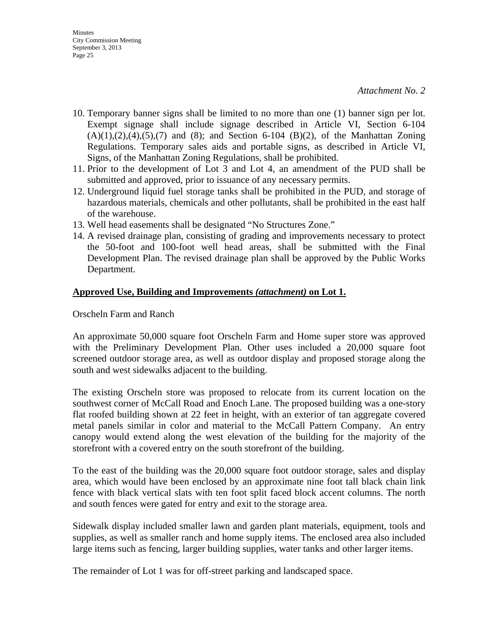- 10. Temporary banner signs shall be limited to no more than one (1) banner sign per lot. Exempt signage shall include signage described in Article VI, Section 6-104  $(A)(1),(2),(4),(5),(7)$  and  $(8)$ ; and Section 6-104  $(B)(2)$ , of the Manhattan Zoning Regulations. Temporary sales aids and portable signs, as described in Article VI, Signs, of the Manhattan Zoning Regulations, shall be prohibited.
- 11. Prior to the development of Lot 3 and Lot 4, an amendment of the PUD shall be submitted and approved, prior to issuance of any necessary permits.
- 12. Underground liquid fuel storage tanks shall be prohibited in the PUD, and storage of hazardous materials, chemicals and other pollutants, shall be prohibited in the east half of the warehouse.
- 13. Well head easements shall be designated "No Structures Zone."
- 14. A revised drainage plan, consisting of grading and improvements necessary to protect the 50-foot and 100-foot well head areas, shall be submitted with the Final Development Plan. The revised drainage plan shall be approved by the Public Works Department.

### **Approved Use, Building and Improvements** *(attachment)* **on Lot 1.**

Orscheln Farm and Ranch

An approximate 50,000 square foot Orscheln Farm and Home super store was approved with the Preliminary Development Plan. Other uses included a 20,000 square foot screened outdoor storage area, as well as outdoor display and proposed storage along the south and west sidewalks adjacent to the building.

The existing Orscheln store was proposed to relocate from its current location on the southwest corner of McCall Road and Enoch Lane. The proposed building was a one-story flat roofed building shown at 22 feet in height, with an exterior of tan aggregate covered metal panels similar in color and material to the McCall Pattern Company. An entry canopy would extend along the west elevation of the building for the majority of the storefront with a covered entry on the south storefront of the building.

To the east of the building was the 20,000 square foot outdoor storage, sales and display area, which would have been enclosed by an approximate nine foot tall black chain link fence with black vertical slats with ten foot split faced block accent columns. The north and south fences were gated for entry and exit to the storage area.

Sidewalk display included smaller lawn and garden plant materials, equipment, tools and supplies, as well as smaller ranch and home supply items. The enclosed area also included large items such as fencing, larger building supplies, water tanks and other larger items.

The remainder of Lot 1 was for off-street parking and landscaped space.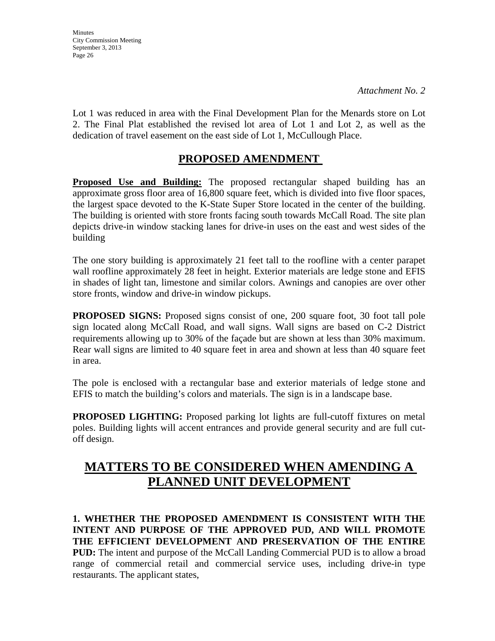**Minutes** City Commission Meeting September 3, 2013 Page 26

*Attachment No. 2*

Lot 1 was reduced in area with the Final Development Plan for the Menards store on Lot 2. The Final Plat established the revised lot area of Lot 1 and Lot 2, as well as the dedication of travel easement on the east side of Lot 1, McCullough Place.

## **PROPOSED AMENDMENT**

Proposed Use and Building: The proposed rectangular shaped building has an approximate gross floor area of 16,800 square feet, which is divided into five floor spaces, the largest space devoted to the K-State Super Store located in the center of the building. The building is oriented with store fronts facing south towards McCall Road. The site plan depicts drive-in window stacking lanes for drive-in uses on the east and west sides of the building

The one story building is approximately 21 feet tall to the roofline with a center parapet wall roofline approximately 28 feet in height. Exterior materials are ledge stone and EFIS in shades of light tan, limestone and similar colors. Awnings and canopies are over other store fronts, window and drive-in window pickups.

**PROPOSED SIGNS:** Proposed signs consist of one, 200 square foot, 30 foot tall pole sign located along McCall Road, and wall signs. Wall signs are based on C-2 District requirements allowing up to 30% of the façade but are shown at less than 30% maximum. Rear wall signs are limited to 40 square feet in area and shown at less than 40 square feet in area.

The pole is enclosed with a rectangular base and exterior materials of ledge stone and EFIS to match the building's colors and materials. The sign is in a landscape base.

**PROPOSED LIGHTING:** Proposed parking lot lights are full-cutoff fixtures on metal poles. Building lights will accent entrances and provide general security and are full cutoff design.

## **MATTERS TO BE CONSIDERED WHEN AMENDING A PLANNED UNIT DEVELOPMENT**

**1. WHETHER THE PROPOSED AMENDMENT IS CONSISTENT WITH THE INTENT AND PURPOSE OF THE APPROVED PUD, AND WILL PROMOTE THE EFFICIENT DEVELOPMENT AND PRESERVATION OF THE ENTIRE PUD:** The intent and purpose of the McCall Landing Commercial PUD is to allow a broad range of commercial retail and commercial service uses, including drive-in type restaurants. The applicant states,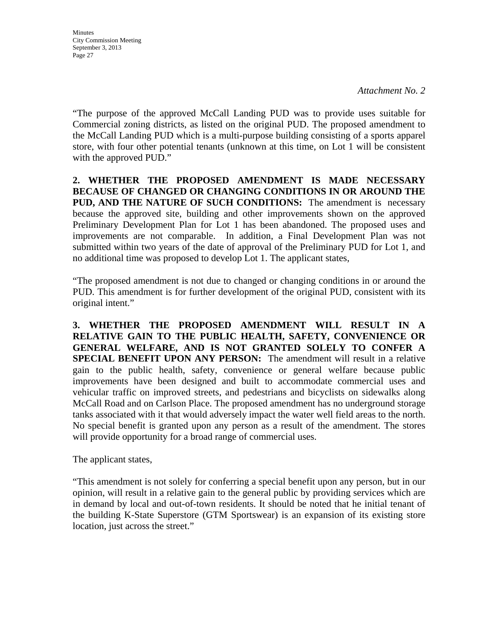**Minutes** City Commission Meeting September 3, 2013 Page 27

"The purpose of the approved McCall Landing PUD was to provide uses suitable for Commercial zoning districts, as listed on the original PUD. The proposed amendment to the McCall Landing PUD which is a multi-purpose building consisting of a sports apparel store, with four other potential tenants (unknown at this time, on Lot 1 will be consistent with the approved PUD."

**2. WHETHER THE PROPOSED AMENDMENT IS MADE NECESSARY BECAUSE OF CHANGED OR CHANGING CONDITIONS IN OR AROUND THE PUD, AND THE NATURE OF SUCH CONDITIONS:** The amendment is necessary because the approved site, building and other improvements shown on the approved Preliminary Development Plan for Lot 1 has been abandoned. The proposed uses and improvements are not comparable. In addition, a Final Development Plan was not submitted within two years of the date of approval of the Preliminary PUD for Lot 1, and no additional time was proposed to develop Lot 1. The applicant states,

"The proposed amendment is not due to changed or changing conditions in or around the PUD. This amendment is for further development of the original PUD, consistent with its original intent."

**3. WHETHER THE PROPOSED AMENDMENT WILL RESULT IN A RELATIVE GAIN TO THE PUBLIC HEALTH, SAFETY, CONVENIENCE OR GENERAL WELFARE, AND IS NOT GRANTED SOLELY TO CONFER A SPECIAL BENEFIT UPON ANY PERSON:** The amendment will result in a relative gain to the public health, safety, convenience or general welfare because public improvements have been designed and built to accommodate commercial uses and vehicular traffic on improved streets, and pedestrians and bicyclists on sidewalks along McCall Road and on Carlson Place. The proposed amendment has no underground storage tanks associated with it that would adversely impact the water well field areas to the north. No special benefit is granted upon any person as a result of the amendment. The stores will provide opportunity for a broad range of commercial uses.

The applicant states,

"This amendment is not solely for conferring a special benefit upon any person, but in our opinion, will result in a relative gain to the general public by providing services which are in demand by local and out-of-town residents. It should be noted that he initial tenant of the building K-State Superstore (GTM Sportswear) is an expansion of its existing store location, just across the street."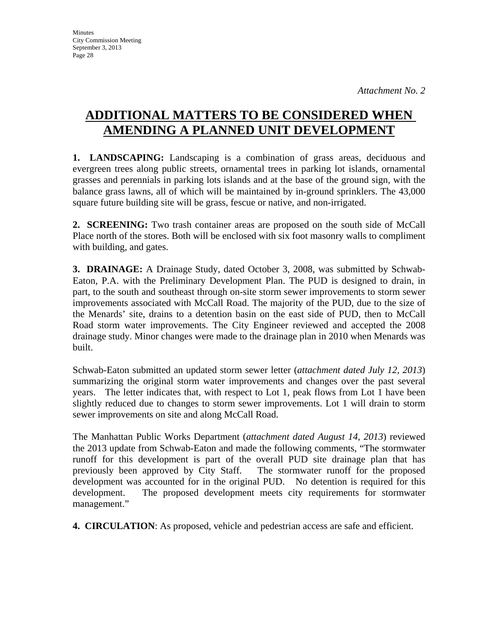# **ADDITIONAL MATTERS TO BE CONSIDERED WHEN AMENDING A PLANNED UNIT DEVELOPMENT**

**1. LANDSCAPING:** Landscaping is a combination of grass areas, deciduous and evergreen trees along public streets, ornamental trees in parking lot islands, ornamental grasses and perennials in parking lots islands and at the base of the ground sign, with the balance grass lawns, all of which will be maintained by in-ground sprinklers. The 43,000 square future building site will be grass, fescue or native, and non-irrigated.

**2. SCREENING:** Two trash container areas are proposed on the south side of McCall Place north of the stores. Both will be enclosed with six foot masonry walls to compliment with building, and gates.

**3. DRAINAGE:** A Drainage Study, dated October 3, 2008, was submitted by Schwab-Eaton, P.A. with the Preliminary Development Plan. The PUD is designed to drain, in part, to the south and southeast through on-site storm sewer improvements to storm sewer improvements associated with McCall Road. The majority of the PUD, due to the size of the Menards' site, drains to a detention basin on the east side of PUD, then to McCall Road storm water improvements. The City Engineer reviewed and accepted the 2008 drainage study. Minor changes were made to the drainage plan in 2010 when Menards was built.

Schwab-Eaton submitted an updated storm sewer letter (*attachment dated July 12, 2013*) summarizing the original storm water improvements and changes over the past several years. The letter indicates that, with respect to Lot 1, peak flows from Lot 1 have been slightly reduced due to changes to storm sewer improvements. Lot 1 will drain to storm sewer improvements on site and along McCall Road.

The Manhattan Public Works Department (*attachment dated August 14, 2013*) reviewed the 2013 update from Schwab-Eaton and made the following comments, "The stormwater runoff for this development is part of the overall PUD site drainage plan that has previously been approved by City Staff. The stormwater runoff for the proposed development was accounted for in the original PUD. No detention is required for this development. The proposed development meets city requirements for stormwater management."

**4. CIRCULATION**: As proposed, vehicle and pedestrian access are safe and efficient.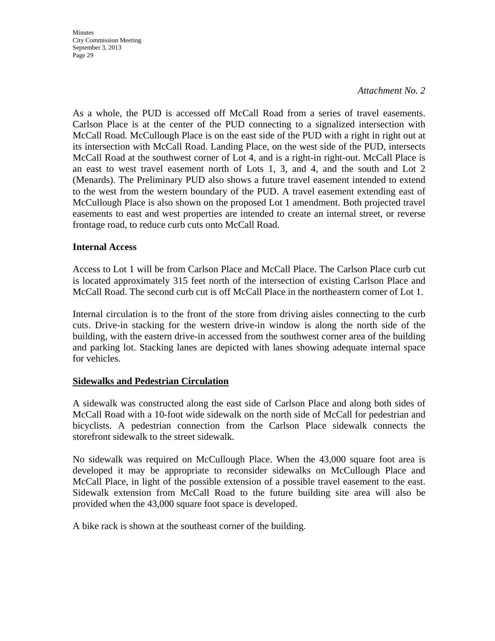**Minutes** City Commission Meeting September 3, 2013 Page 29

#### *Attachment No. 2*

As a whole, the PUD is accessed off McCall Road from a series of travel easements. Carlson Place is at the center of the PUD connecting to a signalized intersection with McCall Road. McCullough Place is on the east side of the PUD with a right in right out at its intersection with McCall Road. Landing Place, on the west side of the PUD, intersects McCall Road at the southwest corner of Lot 4, and is a right-in right-out. McCall Place is an east to west travel easement north of Lots 1, 3, and 4, and the south and Lot 2 (Menards). The Preliminary PUD also shows a future travel easement intended to extend to the west from the western boundary of the PUD. A travel easement extending east of McCullough Place is also shown on the proposed Lot 1 amendment. Both projected travel easements to east and west properties are intended to create an internal street, or reverse frontage road, to reduce curb cuts onto McCall Road.

#### **Internal Access**

Access to Lot 1 will be from Carlson Place and McCall Place. The Carlson Place curb cut is located approximately 315 feet north of the intersection of existing Carlson Place and McCall Road. The second curb cut is off McCall Place in the northeastern corner of Lot 1.

Internal circulation is to the front of the store from driving aisles connecting to the curb cuts. Drive-in stacking for the western drive-in window is along the north side of the building, with the eastern drive-in accessed from the southwest corner area of the building and parking lot. Stacking lanes are depicted with lanes showing adequate internal space for vehicles.

#### **Sidewalks and Pedestrian Circulation**

A sidewalk was constructed along the east side of Carlson Place and along both sides of McCall Road with a 10-foot wide sidewalk on the north side of McCall for pedestrian and bicyclists. A pedestrian connection from the Carlson Place sidewalk connects the storefront sidewalk to the street sidewalk.

No sidewalk was required on McCullough Place. When the 43,000 square foot area is developed it may be appropriate to reconsider sidewalks on McCullough Place and McCall Place, in light of the possible extension of a possible travel easement to the east. Sidewalk extension from McCall Road to the future building site area will also be provided when the 43,000 square foot space is developed.

A bike rack is shown at the southeast corner of the building.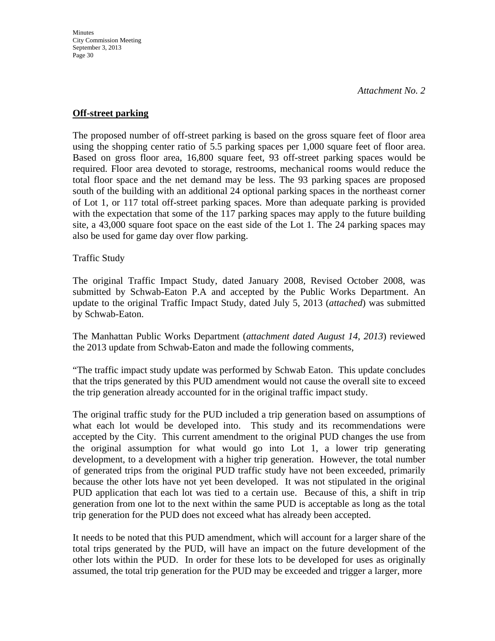#### **Off-street parking**

The proposed number of off-street parking is based on the gross square feet of floor area using the shopping center ratio of 5.5 parking spaces per 1,000 square feet of floor area. Based on gross floor area, 16,800 square feet, 93 off-street parking spaces would be required. Floor area devoted to storage, restrooms, mechanical rooms would reduce the total floor space and the net demand may be less. The 93 parking spaces are proposed south of the building with an additional 24 optional parking spaces in the northeast corner of Lot 1, or 117 total off-street parking spaces. More than adequate parking is provided with the expectation that some of the 117 parking spaces may apply to the future building site, a 43,000 square foot space on the east side of the Lot 1. The 24 parking spaces may also be used for game day over flow parking.

Traffic Study

The original Traffic Impact Study, dated January 2008, Revised October 2008, was submitted by Schwab-Eaton P.A and accepted by the Public Works Department. An update to the original Traffic Impact Study, dated July 5, 2013 (*attached*) was submitted by Schwab-Eaton.

The Manhattan Public Works Department (*attachment dated August 14, 2013*) reviewed the 2013 update from Schwab-Eaton and made the following comments,

"The traffic impact study update was performed by Schwab Eaton. This update concludes that the trips generated by this PUD amendment would not cause the overall site to exceed the trip generation already accounted for in the original traffic impact study.

The original traffic study for the PUD included a trip generation based on assumptions of what each lot would be developed into. This study and its recommendations were accepted by the City. This current amendment to the original PUD changes the use from the original assumption for what would go into Lot 1, a lower trip generating development, to a development with a higher trip generation. However, the total number of generated trips from the original PUD traffic study have not been exceeded, primarily because the other lots have not yet been developed. It was not stipulated in the original PUD application that each lot was tied to a certain use. Because of this, a shift in trip generation from one lot to the next within the same PUD is acceptable as long as the total trip generation for the PUD does not exceed what has already been accepted.

It needs to be noted that this PUD amendment, which will account for a larger share of the total trips generated by the PUD, will have an impact on the future development of the other lots within the PUD. In order for these lots to be developed for uses as originally assumed, the total trip generation for the PUD may be exceeded and trigger a larger, more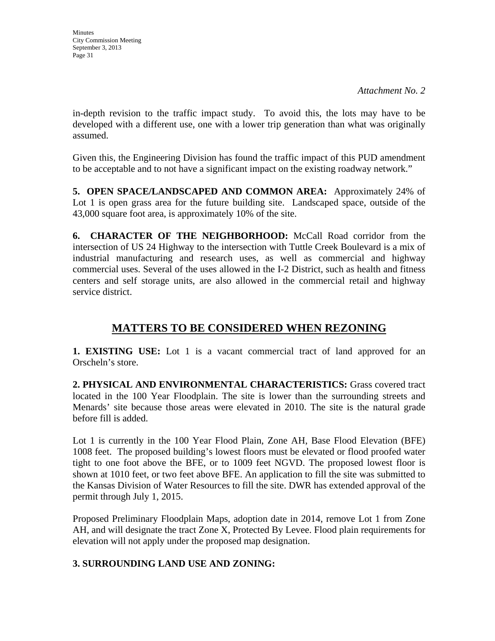in-depth revision to the traffic impact study. To avoid this, the lots may have to be developed with a different use, one with a lower trip generation than what was originally assumed.

Given this, the Engineering Division has found the traffic impact of this PUD amendment to be acceptable and to not have a significant impact on the existing roadway network."

**5. OPEN SPACE/LANDSCAPED AND COMMON AREA:** Approximately 24% of Lot 1 is open grass area for the future building site. Landscaped space, outside of the 43,000 square foot area, is approximately 10% of the site.

**6. CHARACTER OF THE NEIGHBORHOOD:** McCall Road corridor from the intersection of US 24 Highway to the intersection with Tuttle Creek Boulevard is a mix of industrial manufacturing and research uses, as well as commercial and highway commercial uses. Several of the uses allowed in the I-2 District, such as health and fitness centers and self storage units, are also allowed in the commercial retail and highway service district.

## **MATTERS TO BE CONSIDERED WHEN REZONING**

**1. EXISTING USE:** Lot 1 is a vacant commercial tract of land approved for an Orscheln's store.

**2. PHYSICAL AND ENVIRONMENTAL CHARACTERISTICS:** Grass covered tract located in the 100 Year Floodplain. The site is lower than the surrounding streets and Menards' site because those areas were elevated in 2010. The site is the natural grade before fill is added.

Lot 1 is currently in the 100 Year Flood Plain, Zone AH, Base Flood Elevation (BFE) 1008 feet. The proposed building's lowest floors must be elevated or flood proofed water tight to one foot above the BFE, or to 1009 feet NGVD. The proposed lowest floor is shown at 1010 feet, or two feet above BFE. An application to fill the site was submitted to the Kansas Division of Water Resources to fill the site. DWR has extended approval of the permit through July 1, 2015.

Proposed Preliminary Floodplain Maps, adoption date in 2014, remove Lot 1 from Zone AH, and will designate the tract Zone X, Protected By Levee. Flood plain requirements for elevation will not apply under the proposed map designation.

## **3. SURROUNDING LAND USE AND ZONING:**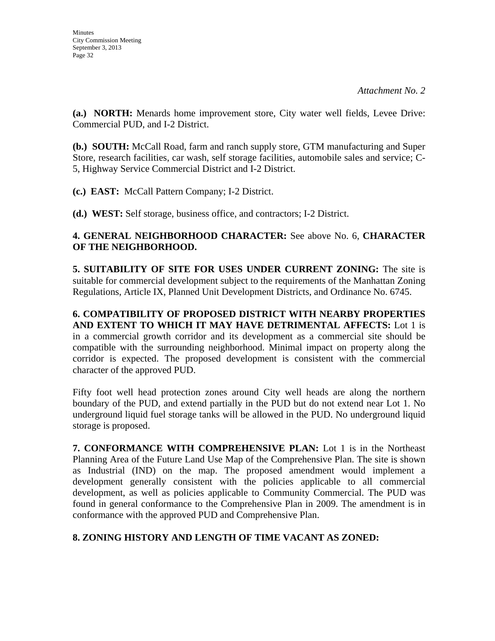**(a.) NORTH:** Menards home improvement store, City water well fields, Levee Drive: Commercial PUD, and I-2 District.

**(b.) SOUTH:** McCall Road, farm and ranch supply store, GTM manufacturing and Super Store, research facilities, car wash, self storage facilities, automobile sales and service; C-5, Highway Service Commercial District and I-2 District.

**(c.) EAST:** McCall Pattern Company; I-2 District.

**(d.) WEST:** Self storage, business office, and contractors; I-2 District.

### **4. GENERAL NEIGHBORHOOD CHARACTER:** See above No. 6, **CHARACTER OF THE NEIGHBORHOOD.**

**5. SUITABILITY OF SITE FOR USES UNDER CURRENT ZONING:** The site is suitable for commercial development subject to the requirements of the Manhattan Zoning Regulations, Article IX, Planned Unit Development Districts, and Ordinance No. 6745.

**6. COMPATIBILITY OF PROPOSED DISTRICT WITH NEARBY PROPERTIES AND EXTENT TO WHICH IT MAY HAVE DETRIMENTAL AFFECTS:** Lot 1 is in a commercial growth corridor and its development as a commercial site should be compatible with the surrounding neighborhood. Minimal impact on property along the corridor is expected. The proposed development is consistent with the commercial character of the approved PUD.

Fifty foot well head protection zones around City well heads are along the northern boundary of the PUD, and extend partially in the PUD but do not extend near Lot 1. No underground liquid fuel storage tanks will be allowed in the PUD. No underground liquid storage is proposed.

**7. CONFORMANCE WITH COMPREHENSIVE PLAN:** Lot 1 is in the Northeast Planning Area of the Future Land Use Map of the Comprehensive Plan. The site is shown as Industrial (IND) on the map. The proposed amendment would implement a development generally consistent with the policies applicable to all commercial development, as well as policies applicable to Community Commercial. The PUD was found in general conformance to the Comprehensive Plan in 2009. The amendment is in conformance with the approved PUD and Comprehensive Plan.

## **8. ZONING HISTORY AND LENGTH OF TIME VACANT AS ZONED:**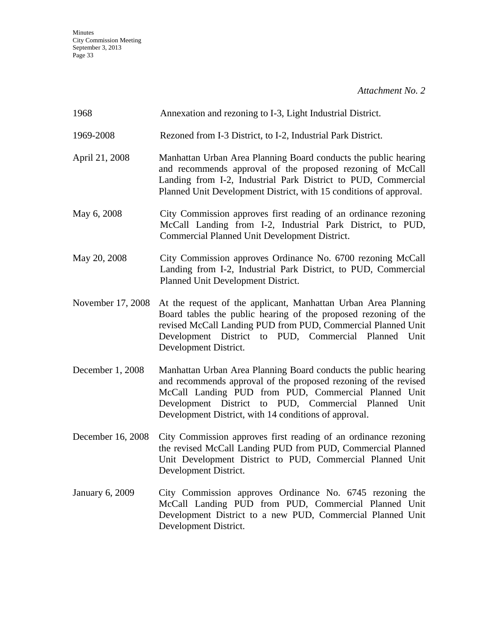| 1968                   | Annexation and rezoning to I-3, Light Industrial District.                                                                                                                                                                                                                                                     |
|------------------------|----------------------------------------------------------------------------------------------------------------------------------------------------------------------------------------------------------------------------------------------------------------------------------------------------------------|
| 1969-2008              | Rezoned from I-3 District, to I-2, Industrial Park District.                                                                                                                                                                                                                                                   |
| April 21, 2008         | Manhattan Urban Area Planning Board conducts the public hearing<br>and recommends approval of the proposed rezoning of McCall<br>Landing from I-2, Industrial Park District to PUD, Commercial<br>Planned Unit Development District, with 15 conditions of approval.                                           |
| May 6, 2008            | City Commission approves first reading of an ordinance rezoning<br>McCall Landing from I-2, Industrial Park District, to PUD,<br>Commercial Planned Unit Development District.                                                                                                                                 |
| May 20, 2008           | City Commission approves Ordinance No. 6700 rezoning McCall<br>Landing from I-2, Industrial Park District, to PUD, Commercial<br>Planned Unit Development District.                                                                                                                                            |
| November 17, 2008      | At the request of the applicant, Manhattan Urban Area Planning<br>Board tables the public hearing of the proposed rezoning of the<br>revised McCall Landing PUD from PUD, Commercial Planned Unit<br>Development District to PUD, Commercial Planned Unit<br>Development District.                             |
| December 1, 2008       | Manhattan Urban Area Planning Board conducts the public hearing<br>and recommends approval of the proposed rezoning of the revised<br>McCall Landing PUD from PUD, Commercial Planned Unit<br>Development District to PUD, Commercial Planned<br>Unit<br>Development District, with 14 conditions of approval. |
| December 16, 2008      | City Commission approves first reading of an ordinance rezoning<br>the revised McCall Landing PUD from PUD, Commercial Planned<br>Unit Development District to PUD, Commercial Planned Unit<br>Development District.                                                                                           |
| <b>January 6, 2009</b> | City Commission approves Ordinance No. 6745 rezoning the<br>McCall Landing PUD from PUD, Commercial Planned Unit<br>Development District to a new PUD, Commercial Planned Unit<br>Development District.                                                                                                        |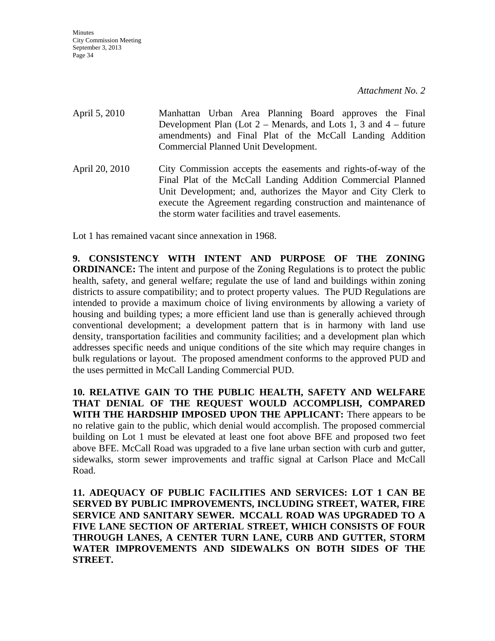April 5, 2010 Manhattan Urban Area Planning Board approves the Final Development Plan (Lot  $2$  – Menards, and Lots 1, 3 and  $4$  – future amendments) and Final Plat of the McCall Landing Addition Commercial Planned Unit Development. April 20, 2010 City Commission accepts the easements and rights-of-way of the Final Plat of the McCall Landing Addition Commercial Planned Unit Development; and, authorizes the Mayor and City Clerk to execute the Agreement regarding construction and maintenance of the storm water facilities and travel easements.

Lot 1 has remained vacant since annexation in 1968.

**9. CONSISTENCY WITH INTENT AND PURPOSE OF THE ZONING ORDINANCE:** The intent and purpose of the Zoning Regulations is to protect the public health, safety, and general welfare; regulate the use of land and buildings within zoning districts to assure compatibility; and to protect property values. The PUD Regulations are intended to provide a maximum choice of living environments by allowing a variety of housing and building types; a more efficient land use than is generally achieved through conventional development; a development pattern that is in harmony with land use density, transportation facilities and community facilities; and a development plan which addresses specific needs and unique conditions of the site which may require changes in bulk regulations or layout. The proposed amendment conforms to the approved PUD and the uses permitted in McCall Landing Commercial PUD.

**10. RELATIVE GAIN TO THE PUBLIC HEALTH, SAFETY AND WELFARE THAT DENIAL OF THE REQUEST WOULD ACCOMPLISH, COMPARED WITH THE HARDSHIP IMPOSED UPON THE APPLICANT:** There appears to be no relative gain to the public, which denial would accomplish. The proposed commercial building on Lot 1 must be elevated at least one foot above BFE and proposed two feet above BFE. McCall Road was upgraded to a five lane urban section with curb and gutter, sidewalks, storm sewer improvements and traffic signal at Carlson Place and McCall Road.

**11. ADEQUACY OF PUBLIC FACILITIES AND SERVICES: LOT 1 CAN BE SERVED BY PUBLIC IMPROVEMENTS, INCLUDING STREET, WATER, FIRE SERVICE AND SANITARY SEWER. MCCALL ROAD WAS UPGRADED TO A FIVE LANE SECTION OF ARTERIAL STREET, WHICH CONSISTS OF FOUR THROUGH LANES, A CENTER TURN LANE, CURB AND GUTTER, STORM WATER IMPROVEMENTS AND SIDEWALKS ON BOTH SIDES OF THE STREET.**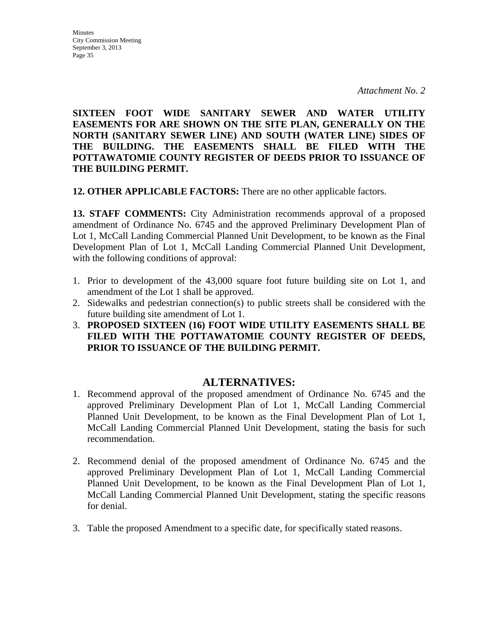**SIXTEEN FOOT WIDE SANITARY SEWER AND WATER UTILITY EASEMENTS FOR ARE SHOWN ON THE SITE PLAN, GENERALLY ON THE NORTH (SANITARY SEWER LINE) AND SOUTH (WATER LINE) SIDES OF THE BUILDING. THE EASEMENTS SHALL BE FILED WITH THE POTTAWATOMIE COUNTY REGISTER OF DEEDS PRIOR TO ISSUANCE OF THE BUILDING PERMIT.** 

**12. OTHER APPLICABLE FACTORS:** There are no other applicable factors.

**13. STAFF COMMENTS:** City Administration recommends approval of a proposed amendment of Ordinance No. 6745 and the approved Preliminary Development Plan of Lot 1, McCall Landing Commercial Planned Unit Development, to be known as the Final Development Plan of Lot 1, McCall Landing Commercial Planned Unit Development, with the following conditions of approval:

- 1. Prior to development of the 43,000 square foot future building site on Lot 1, and amendment of the Lot 1 shall be approved.
- 2. Sidewalks and pedestrian connection(s) to public streets shall be considered with the future building site amendment of Lot 1.
- 3. **PROPOSED SIXTEEN (16) FOOT WIDE UTILITY EASEMENTS SHALL BE FILED WITH THE POTTAWATOMIE COUNTY REGISTER OF DEEDS, PRIOR TO ISSUANCE OF THE BUILDING PERMIT.**

## **ALTERNATIVES:**

- 1. Recommend approval of the proposed amendment of Ordinance No. 6745 and the approved Preliminary Development Plan of Lot 1, McCall Landing Commercial Planned Unit Development, to be known as the Final Development Plan of Lot 1, McCall Landing Commercial Planned Unit Development, stating the basis for such recommendation.
- 2. Recommend denial of the proposed amendment of Ordinance No. 6745 and the approved Preliminary Development Plan of Lot 1, McCall Landing Commercial Planned Unit Development, to be known as the Final Development Plan of Lot 1, McCall Landing Commercial Planned Unit Development, stating the specific reasons for denial.
- 3. Table the proposed Amendment to a specific date, for specifically stated reasons.